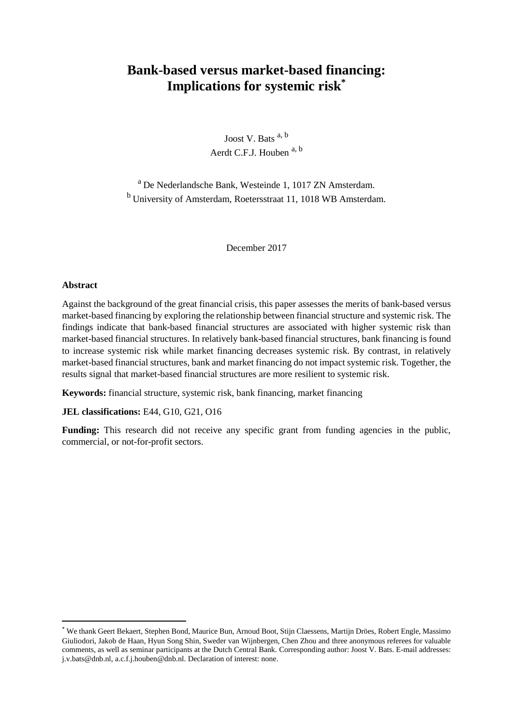# **Bank-based versus market-based financing: Implications for systemic risk\***

Joost V. Bats  $a, b$ Aerdt C.F.J. Houben a, b

<sup>a</sup>De Nederlandsche Bank, Westeinde 1, 1017 ZN Amsterdam. <sup>b</sup> University of Amsterdam, Roetersstraat 11, 1018 WB Amsterdam.

December 2017

## **Abstract**

**.** 

Against the background of the great financial crisis, this paper assesses the merits of bank-based versus market-based financing by exploring the relationship between financial structure and systemic risk. The findings indicate that bank-based financial structures are associated with higher systemic risk than market-based financial structures. In relatively bank-based financial structures, bank financing is found to increase systemic risk while market financing decreases systemic risk. By contrast, in relatively market-based financial structures, bank and market financing do not impact systemic risk. Together, the results signal that market-based financial structures are more resilient to systemic risk.

**Keywords:** financial structure, systemic risk, bank financing, market financing

**JEL classifications:** E44, G10, G21, O16

Funding: This research did not receive any specific grant from funding agencies in the public, commercial, or not-for-profit sectors.

<sup>\*</sup> We thank Geert Bekaert, Stephen Bond, Maurice Bun, Arnoud Boot, Stijn Claessens, Martijn Dröes, Robert Engle, Massimo Giuliodori, Jakob de Haan, Hyun Song Shin, Sweder van Wijnbergen, Chen Zhou and three anonymous referees for valuable comments, as well as seminar participants at the Dutch Central Bank. Corresponding author: Joost V. Bats. E-mail addresses: j.v.bats@dnb.nl, a.c.f.j.houben@dnb.nl. Declaration of interest: none.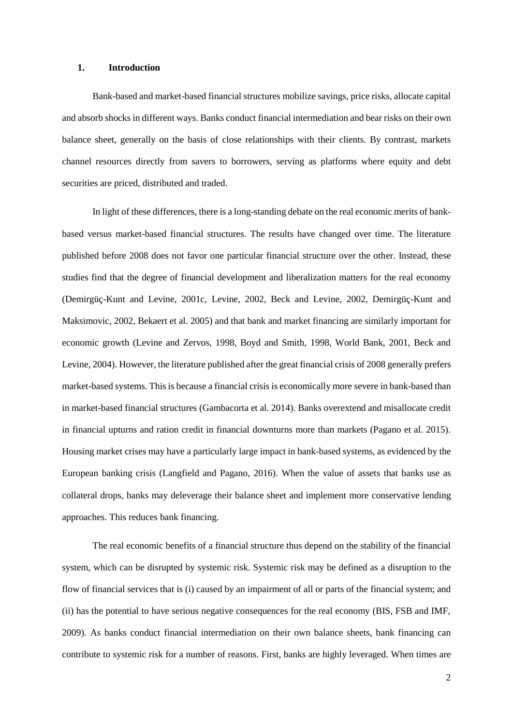#### **1. Introduction**

Bank-based and market-based financial structures mobilize savings, price risks, allocate capital and absorb shocks in different ways. Banks conduct financial intermediation and bear risks on their own balance sheet, generally on the basis of close relationships with their clients. By contrast, markets channel resources directly from savers to borrowers, serving as platforms where equity and debt securities are priced, distributed and traded.

In light of these differences, there is a long-standing debate on the real economic merits of bankbased versus market-based financial structures. The results have changed over time. The literature published before 2008 does not favor one particular financial structure over the other. Instead, these studies find that the degree of financial development and liberalization matters for the real economy (Demirgüç-Kunt and Levine, 2001c, Levine, 2002, Beck and Levine, 2002, Demirgüç-Kunt and Maksimovic, 2002, Bekaert et al. 2005) and that bank and market financing are similarly important for economic growth (Levine and Zervos, 1998, Boyd and Smith, 1998, World Bank, 2001, Beck and Levine, 2004). However, the literature published after the great financial crisis of 2008 generally prefers market-based systems. This is because a financial crisis is economically more severe in bank-based than in market-based financial structures (Gambacorta et al. 2014). Banks overextend and misallocate credit in financial upturns and ration credit in financial downturns more than markets (Pagano et al. 2015). Housing market crises may have a particularly large impact in bank-based systems, as evidenced by the European banking crisis (Langfield and Pagano, 2016). When the value of assets that banks use as collateral drops, banks may deleverage their balance sheet and implement more conservative lending approaches. This reduces bank financing.

The real economic benefits of a financial structure thus depend on the stability of the financial system, which can be disrupted by systemic risk. Systemic risk may be defined as a disruption to the flow of financial services that is (i) caused by an impairment of all or parts of the financial system; and (ii) has the potential to have serious negative consequences for the real economy (BIS, FSB and IMF, 2009). As banks conduct financial intermediation on their own balance sheets, bank financing can contribute to systemic risk for a number of reasons. First, banks are highly leveraged. When times are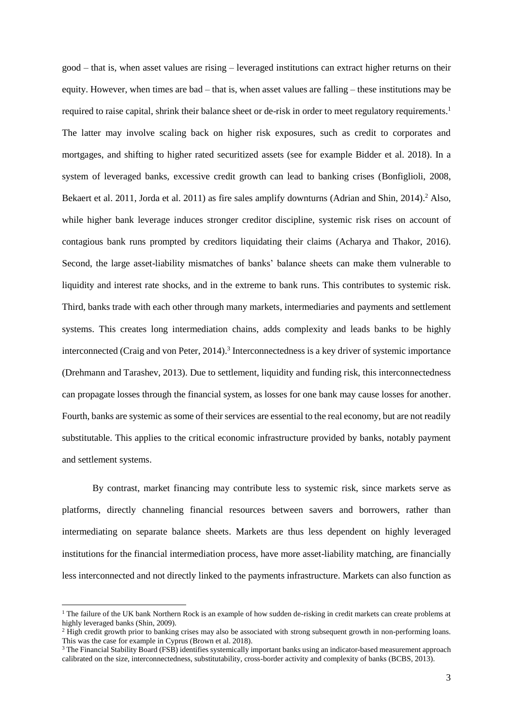good – that is, when asset values are rising – leveraged institutions can extract higher returns on their equity. However, when times are bad – that is, when asset values are falling – these institutions may be required to raise capital, shrink their balance sheet or de-risk in order to meet regulatory requirements.<sup>1</sup> The latter may involve scaling back on higher risk exposures, such as credit to corporates and mortgages, and shifting to higher rated securitized assets (see for example Bidder et al. 2018). In a system of leveraged banks, excessive credit growth can lead to banking crises (Bonfiglioli, 2008, Bekaert et al. 2011, Jorda et al. 2011) as fire sales amplify downturns (Adrian and Shin, 2014).<sup>2</sup> Also, while higher bank leverage induces stronger creditor discipline, systemic risk rises on account of contagious bank runs prompted by creditors liquidating their claims (Acharya and Thakor, 2016). Second, the large asset-liability mismatches of banks' balance sheets can make them vulnerable to liquidity and interest rate shocks, and in the extreme to bank runs. This contributes to systemic risk. Third, banks trade with each other through many markets, intermediaries and payments and settlement systems. This creates long intermediation chains, adds complexity and leads banks to be highly interconnected (Craig and von Peter, 2014).<sup>3</sup> Interconnectedness is a key driver of systemic importance (Drehmann and Tarashev, 2013). Due to settlement, liquidity and funding risk, this interconnectedness can propagate losses through the financial system, as losses for one bank may cause losses for another. Fourth, banks are systemic as some of their services are essential to the real economy, but are not readily substitutable. This applies to the critical economic infrastructure provided by banks, notably payment and settlement systems.

By contrast, market financing may contribute less to systemic risk, since markets serve as platforms, directly channeling financial resources between savers and borrowers, rather than intermediating on separate balance sheets. Markets are thus less dependent on highly leveraged institutions for the financial intermediation process, have more asset-liability matching, are financially less interconnected and not directly linked to the payments infrastructure. Markets can also function as

 $\overline{a}$ 

 $<sup>1</sup>$  The failure of the UK bank Northern Rock is an example of how sudden de-risking in credit markets can create problems at</sup> highly leveraged banks (Shin, 2009).

<sup>&</sup>lt;sup>2</sup> High credit growth prior to banking crises may also be associated with strong subsequent growth in non-performing loans. This was the case for example in Cyprus (Brown et al. 2018).

<sup>&</sup>lt;sup>3</sup> The Financial Stability Board (FSB) identifies systemically important banks using an indicator-based measurement approach calibrated on the size, interconnectedness, substitutability, cross-border activity and complexity of banks (BCBS, 2013).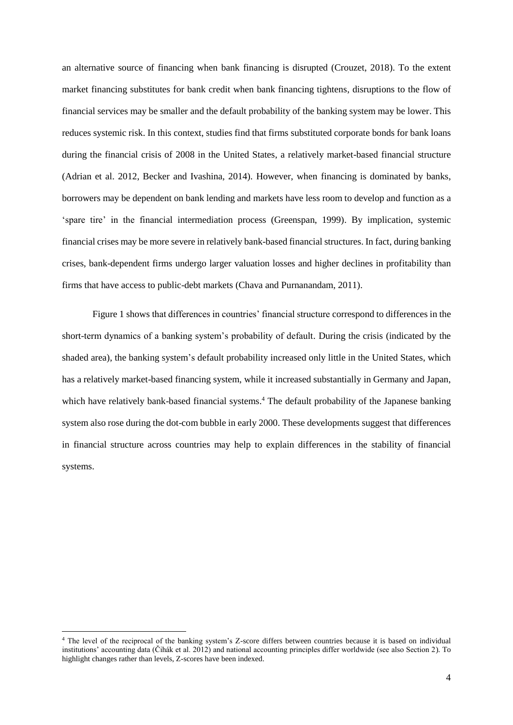an alternative source of financing when bank financing is disrupted (Crouzet, 2018). To the extent market financing substitutes for bank credit when bank financing tightens, disruptions to the flow of financial services may be smaller and the default probability of the banking system may be lower. This reduces systemic risk. In this context, studies find that firms substituted corporate bonds for bank loans during the financial crisis of 2008 in the United States, a relatively market-based financial structure (Adrian et al. 2012, Becker and Ivashina, 2014). However, when financing is dominated by banks, borrowers may be dependent on bank lending and markets have less room to develop and function as a 'spare tire' in the financial intermediation process (Greenspan, 1999). By implication, systemic financial crises may be more severe in relatively bank-based financial structures. In fact, during banking crises, bank-dependent firms undergo larger valuation losses and higher declines in profitability than firms that have access to public-debt markets (Chava and Purnanandam, 2011).

Figure 1 shows that differences in countries' financial structure correspond to differences in the short-term dynamics of a banking system's probability of default. During the crisis (indicated by the shaded area), the banking system's default probability increased only little in the United States, which has a relatively market-based financing system, while it increased substantially in Germany and Japan, which have relatively bank-based financial systems.<sup>4</sup> The default probability of the Japanese banking system also rose during the dot-com bubble in early 2000. These developments suggest that differences in financial structure across countries may help to explain differences in the stability of financial systems.

 $\overline{a}$ 

<sup>4</sup> The level of the reciprocal of the banking system's Z-score differs between countries because it is based on individual institutions' accounting data (Čihák et al. 2012) and national accounting principles differ worldwide (see also Section 2). To highlight changes rather than levels, Z-scores have been indexed.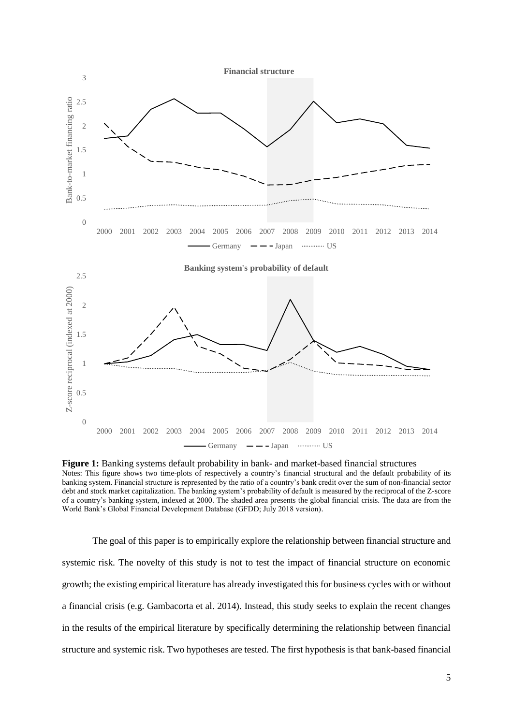

**Figure 1:** Banking systems default probability in bank- and market-based financial structures Notes: This figure shows two time-plots of respectively a country's financial structural and the default probability of its banking system. Financial structure is represented by the ratio of a country's bank credit over the sum of non-financial sector debt and stock market capitalization. The banking system's probability of default is measured by the reciprocal of the Z-score of a country's banking system, indexed at 2000. The shaded area presents the global financial crisis. The data are from the World Bank's Global Financial Development Database (GFDD; July 2018 version).

The goal of this paper is to empirically explore the relationship between financial structure and systemic risk. The novelty of this study is not to test the impact of financial structure on economic growth; the existing empirical literature has already investigated this for business cycles with or without a financial crisis (e.g. Gambacorta et al. 2014). Instead, this study seeks to explain the recent changes in the results of the empirical literature by specifically determining the relationship between financial structure and systemic risk. Two hypotheses are tested. The first hypothesis is that bank-based financial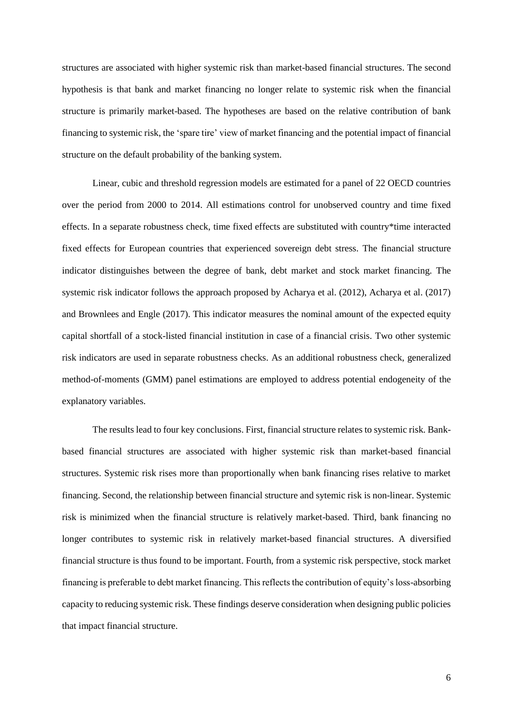structures are associated with higher systemic risk than market-based financial structures. The second hypothesis is that bank and market financing no longer relate to systemic risk when the financial structure is primarily market-based. The hypotheses are based on the relative contribution of bank financing to systemic risk, the 'spare tire' view of market financing and the potential impact of financial structure on the default probability of the banking system.

Linear, cubic and threshold regression models are estimated for a panel of 22 OECD countries over the period from 2000 to 2014. All estimations control for unobserved country and time fixed effects. In a separate robustness check, time fixed effects are substituted with country\*time interacted fixed effects for European countries that experienced sovereign debt stress. The financial structure indicator distinguishes between the degree of bank, debt market and stock market financing. The systemic risk indicator follows the approach proposed by Acharya et al. (2012), Acharya et al. (2017) and Brownlees and Engle (2017). This indicator measures the nominal amount of the expected equity capital shortfall of a stock-listed financial institution in case of a financial crisis. Two other systemic risk indicators are used in separate robustness checks. As an additional robustness check, generalized method-of-moments (GMM) panel estimations are employed to address potential endogeneity of the explanatory variables.

The results lead to four key conclusions. First, financial structure relates to systemic risk. Bankbased financial structures are associated with higher systemic risk than market-based financial structures. Systemic risk rises more than proportionally when bank financing rises relative to market financing. Second, the relationship between financial structure and sytemic risk is non-linear. Systemic risk is minimized when the financial structure is relatively market-based. Third, bank financing no longer contributes to systemic risk in relatively market-based financial structures. A diversified financial structure is thus found to be important. Fourth, from a systemic risk perspective, stock market financing is preferable to debt market financing. This reflects the contribution of equity's loss-absorbing capacity to reducing systemic risk. These findings deserve consideration when designing public policies that impact financial structure.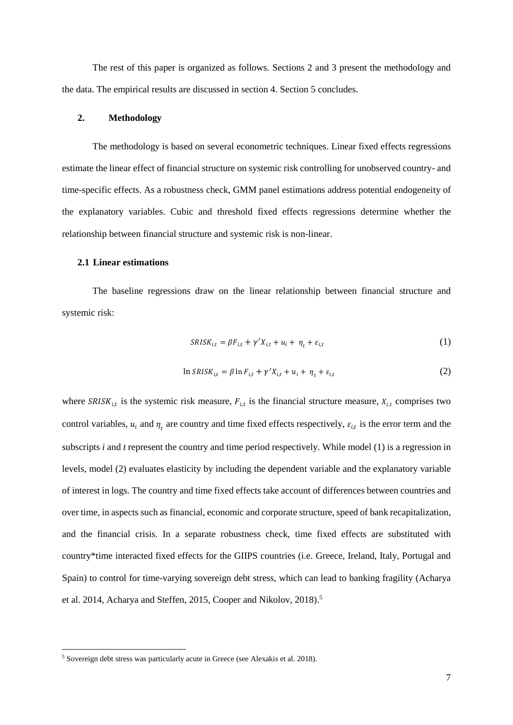The rest of this paper is organized as follows. Sections 2 and 3 present the methodology and the data. The empirical results are discussed in section 4. Section 5 concludes.

## **2. Methodology**

The methodology is based on several econometric techniques. Linear fixed effects regressions estimate the linear effect of financial structure on systemic risk controlling for unobserved country- and time-specific effects. As a robustness check, GMM panel estimations address potential endogeneity of the explanatory variables. Cubic and threshold fixed effects regressions determine whether the relationship between financial structure and systemic risk is non-linear.

## **2.1 Linear estimations**

The baseline regressions draw on the linear relationship between financial structure and systemic risk:

$$
SRISK_{i,t} = \beta F_{i,t} + \gamma' X_{i,t} + u_i + \eta_t + \varepsilon_{i,t}
$$
\n<sup>(1)</sup>

$$
\ln SRISK_{i,t} = \beta \ln F_{i,t} + \gamma' X_{i,t} + u_i + \eta_t + \varepsilon_{i,t}
$$
\n(2)

where  $SRISK_{i,t}$  is the systemic risk measure,  $F_{i,t}$  is the financial structure measure,  $X_{i,t}$  comprises two control variables,  $u_i$  and  $\eta_t$  are country and time fixed effects respectively,  $\varepsilon_{i,t}$  is the error term and the subscripts *i* and *t* represent the country and time period respectively. While model (1) is a regression in levels, model (2) evaluates elasticity by including the dependent variable and the explanatory variable of interest in logs. The country and time fixed effects take account of differences between countries and over time, in aspects such as financial, economic and corporate structure, speed of bank recapitalization, and the financial crisis. In a separate robustness check, time fixed effects are substituted with country\*time interacted fixed effects for the GIIPS countries (i.e. Greece, Ireland, Italy, Portugal and Spain) to control for time-varying sovereign debt stress, which can lead to banking fragility (Acharya et al. 2014, Acharya and Steffen, 2015, Cooper and Nikolov, 2018). 5

**.** 

<sup>5</sup> Sovereign debt stress was particularly acute in Greece (see Alexakis et al. 2018).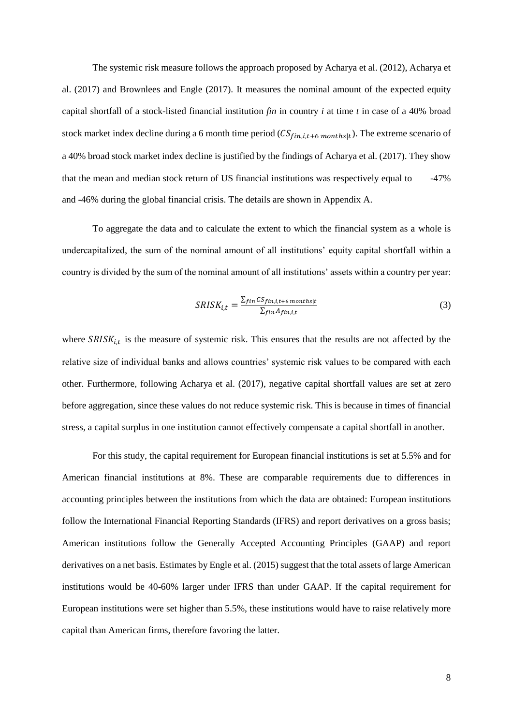The systemic risk measure follows the approach proposed by Acharya et al. (2012), Acharya et al. (2017) and Brownlees and Engle (2017). It measures the nominal amount of the expected equity capital shortfall of a stock-listed financial institution *fin* in country *i* at time *t* in case of a 40% broad stock market index decline during a 6 month time period  $(CS_{fin,i,t+6 \, months|t})$ . The extreme scenario of a 40% broad stock market index decline is justified by the findings of Acharya et al. (2017). They show that the mean and median stock return of US financial institutions was respectively equal to -47% and -46% during the global financial crisis. The details are shown in Appendix A.

To aggregate the data and to calculate the extent to which the financial system as a whole is undercapitalized, the sum of the nominal amount of all institutions' equity capital shortfall within a country is divided by the sum of the nominal amount of all institutions' assets within a country per year:

$$
SRISK_{i,t} = \frac{\sum_{fin} CSpin_{i,t+6} \text{ months}_{|t}}{\sum_{fin} A_{fin,i,t}}
$$
(3)

where  $SRISK_{i,t}$  is the measure of systemic risk. This ensures that the results are not affected by the relative size of individual banks and allows countries' systemic risk values to be compared with each other. Furthermore, following Acharya et al. (2017), negative capital shortfall values are set at zero before aggregation, since these values do not reduce systemic risk. This is because in times of financial stress, a capital surplus in one institution cannot effectively compensate a capital shortfall in another.

For this study, the capital requirement for European financial institutions is set at 5.5% and for American financial institutions at 8%. These are comparable requirements due to differences in accounting principles between the institutions from which the data are obtained: European institutions follow the International Financial Reporting Standards (IFRS) and report derivatives on a gross basis; American institutions follow the Generally Accepted Accounting Principles (GAAP) and report derivatives on a net basis. Estimates by Engle et al. (2015) suggest that the total assets of large American institutions would be 40-60% larger under IFRS than under GAAP. If the capital requirement for European institutions were set higher than 5.5%, these institutions would have to raise relatively more capital than American firms, therefore favoring the latter.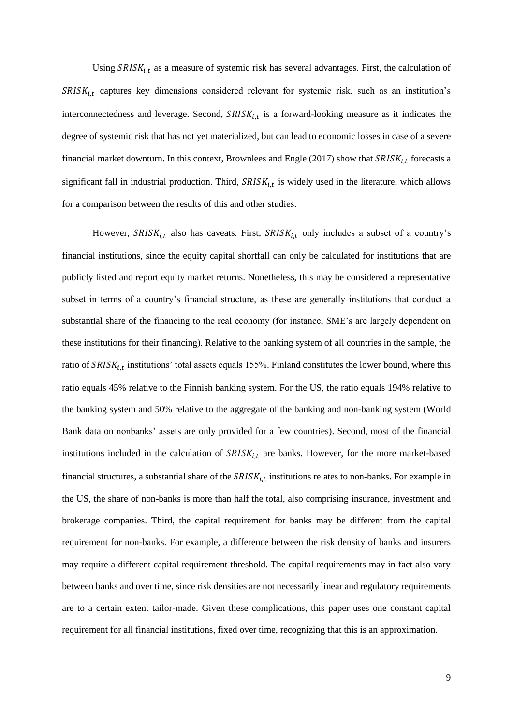Using  $SRISK_{i,t}$  as a measure of systemic risk has several advantages. First, the calculation of  $SRISK_{i,t}$  captures key dimensions considered relevant for systemic risk, such as an institution's interconnectedness and leverage. Second,  $SRISK_{i,t}$  is a forward-looking measure as it indicates the degree of systemic risk that has not yet materialized, but can lead to economic losses in case of a severe financial market downturn. In this context, Brownlees and Engle  $(2017)$  show that  $SRISK_{i,t}$  forecasts a significant fall in industrial production. Third,  $SRISK_{i,t}$  is widely used in the literature, which allows for a comparison between the results of this and other studies.

However,  $SRISK_{i,t}$  also has caveats. First,  $SRISK_{i,t}$  only includes a subset of a country's financial institutions, since the equity capital shortfall can only be calculated for institutions that are publicly listed and report equity market returns. Nonetheless, this may be considered a representative subset in terms of a country's financial structure, as these are generally institutions that conduct a substantial share of the financing to the real economy (for instance, SME's are largely dependent on these institutions for their financing). Relative to the banking system of all countries in the sample, the ratio of  $SRISK_{i,t}$  institutions' total assets equals 155%. Finland constitutes the lower bound, where this ratio equals 45% relative to the Finnish banking system. For the US, the ratio equals 194% relative to the banking system and 50% relative to the aggregate of the banking and non-banking system (World Bank data on nonbanks' assets are only provided for a few countries). Second, most of the financial institutions included in the calculation of  $SRISK_{i,t}$  are banks. However, for the more market-based financial structures, a substantial share of the  $SRISK_{i,t}$  institutions relates to non-banks. For example in the US, the share of non-banks is more than half the total, also comprising insurance, investment and brokerage companies. Third, the capital requirement for banks may be different from the capital requirement for non-banks. For example, a difference between the risk density of banks and insurers may require a different capital requirement threshold. The capital requirements may in fact also vary between banks and over time, since risk densities are not necessarily linear and regulatory requirements are to a certain extent tailor-made. Given these complications, this paper uses one constant capital requirement for all financial institutions, fixed over time, recognizing that this is an approximation.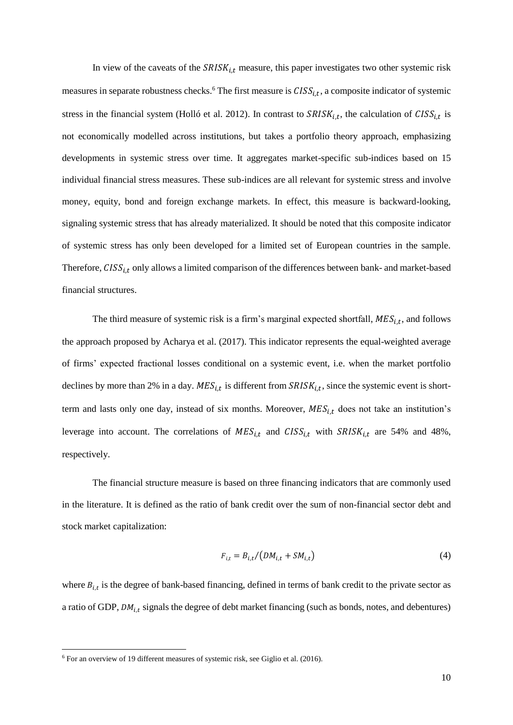In view of the caveats of the  $SRISK_{i,t}$  measure, this paper investigates two other systemic risk measures in separate robustness checks.<sup>6</sup> The first measure is  $CISS_{i,t}$ , a composite indicator of systemic stress in the financial system (Holló et al. 2012). In contrast to  $SRISK_{i,t}$ , the calculation of  $CISS_{i,t}$  is not economically modelled across institutions, but takes a portfolio theory approach, emphasizing developments in systemic stress over time. It aggregates market-specific sub-indices based on 15 individual financial stress measures. These sub-indices are all relevant for systemic stress and involve money, equity, bond and foreign exchange markets. In effect, this measure is backward-looking, signaling systemic stress that has already materialized. It should be noted that this composite indicator of systemic stress has only been developed for a limited set of European countries in the sample. Therefore,  $CISS<sub>it</sub>$  only allows a limited comparison of the differences between bank- and market-based financial structures.

The third measure of systemic risk is a firm's marginal expected shortfall,  $MES_{i,t}$ , and follows the approach proposed by Acharya et al. (2017). This indicator represents the equal-weighted average of firms' expected fractional losses conditional on a systemic event, i.e. when the market portfolio declines by more than 2% in a day.  $MES_{i,t}$  is different from  $SRISK_{i,t}$ , since the systemic event is shortterm and lasts only one day, instead of six months. Moreover,  $MES_{i,t}$  does not take an institution's leverage into account. The correlations of  $MES_{i,t}$  and  $CISS_{i,t}$  with  $SRISK_{i,t}$  are 54% and 48%, respectively.

The financial structure measure is based on three financing indicators that are commonly used in the literature. It is defined as the ratio of bank credit over the sum of non-financial sector debt and stock market capitalization:

$$
F_{i,t} = B_{i,t} / (DM_{i,t} + SM_{i,t})
$$
\n(4)

where  $B_{i,t}$  is the degree of bank-based financing, defined in terms of bank credit to the private sector as a ratio of GDP,  $DM_{i,t}$  signals the degree of debt market financing (such as bonds, notes, and debentures)

**.** 

<sup>6</sup> For an overview of 19 different measures of systemic risk, see Giglio et al. (2016).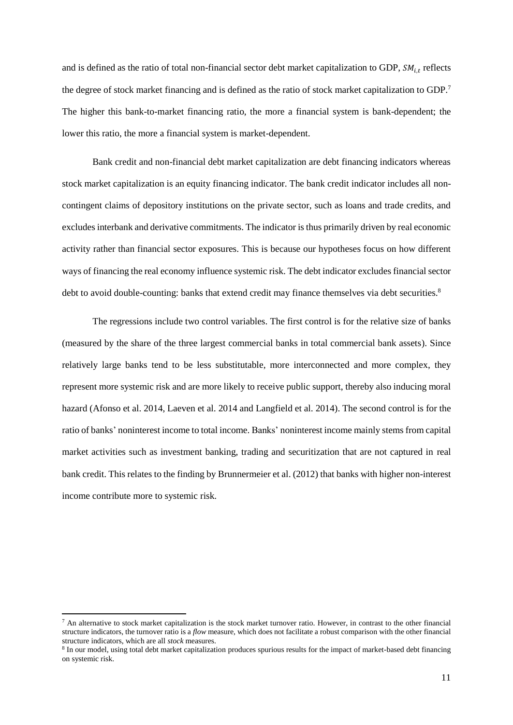and is defined as the ratio of total non-financial sector debt market capitalization to GDP,  $SM_{i,t}$  reflects the degree of stock market financing and is defined as the ratio of stock market capitalization to GDP.<sup>7</sup> The higher this bank-to-market financing ratio, the more a financial system is bank-dependent; the lower this ratio, the more a financial system is market-dependent.

Bank credit and non-financial debt market capitalization are debt financing indicators whereas stock market capitalization is an equity financing indicator. The bank credit indicator includes all noncontingent claims of depository institutions on the private sector, such as loans and trade credits, and excludes interbank and derivative commitments. The indicator is thus primarily driven by real economic activity rather than financial sector exposures. This is because our hypotheses focus on how different ways of financing the real economy influence systemic risk. The debt indicator excludes financial sector debt to avoid double-counting: banks that extend credit may finance themselves via debt securities.<sup>8</sup>

The regressions include two control variables. The first control is for the relative size of banks (measured by the share of the three largest commercial banks in total commercial bank assets). Since relatively large banks tend to be less substitutable, more interconnected and more complex, they represent more systemic risk and are more likely to receive public support, thereby also inducing moral hazard (Afonso et al. 2014, Laeven et al. 2014 and Langfield et al. 2014). The second control is for the ratio of banks' noninterest income to total income. Banks' noninterest income mainly stems from capital market activities such as investment banking, trading and securitization that are not captured in real bank credit. This relates to the finding by Brunnermeier et al. (2012) that banks with higher non-interest income contribute more to systemic risk.

1

 $<sup>7</sup>$  An alternative to stock market capitalization is the stock market turnover ratio. However, in contrast to the other financial</sup> structure indicators, the turnover ratio is a *flow* measure, which does not facilitate a robust comparison with the other financial structure indicators, which are all *stock* measures.

<sup>&</sup>lt;sup>8</sup> In our model, using total debt market capitalization produces spurious results for the impact of market-based debt financing on systemic risk.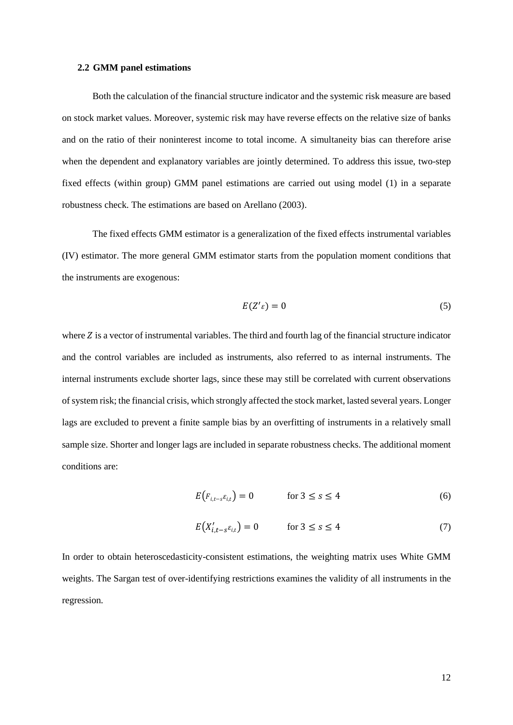#### **2.2 GMM panel estimations**

Both the calculation of the financial structure indicator and the systemic risk measure are based on stock market values. Moreover, systemic risk may have reverse effects on the relative size of banks and on the ratio of their noninterest income to total income. A simultaneity bias can therefore arise when the dependent and explanatory variables are jointly determined. To address this issue, two-step fixed effects (within group) GMM panel estimations are carried out using model (1) in a separate robustness check. The estimations are based on Arellano (2003).

The fixed effects GMM estimator is a generalization of the fixed effects instrumental variables (IV) estimator. The more general GMM estimator starts from the population moment conditions that the instruments are exogenous:

$$
E(Z'\varepsilon) = 0 \tag{5}
$$

where  $Z$  is a vector of instrumental variables. The third and fourth lag of the financial structure indicator and the control variables are included as instruments, also referred to as internal instruments. The internal instruments exclude shorter lags, since these may still be correlated with current observations of system risk; the financial crisis, which strongly affected the stock market, lasted several years. Longer lags are excluded to prevent a finite sample bias by an overfitting of instruments in a relatively small sample size. Shorter and longer lags are included in separate robustness checks. The additional moment conditions are:

$$
E\left(F_{i,t-s}\varepsilon_{i,t}\right) = 0 \qquad \text{for } 3 \le s \le 4 \tag{6}
$$

$$
E(X'_{i,t-s}\varepsilon_{i,t}) = 0 \qquad \text{for } 3 \le s \le 4 \tag{7}
$$

In order to obtain heteroscedasticity-consistent estimations, the weighting matrix uses White GMM weights. The Sargan test of over-identifying restrictions examines the validity of all instruments in the regression*.*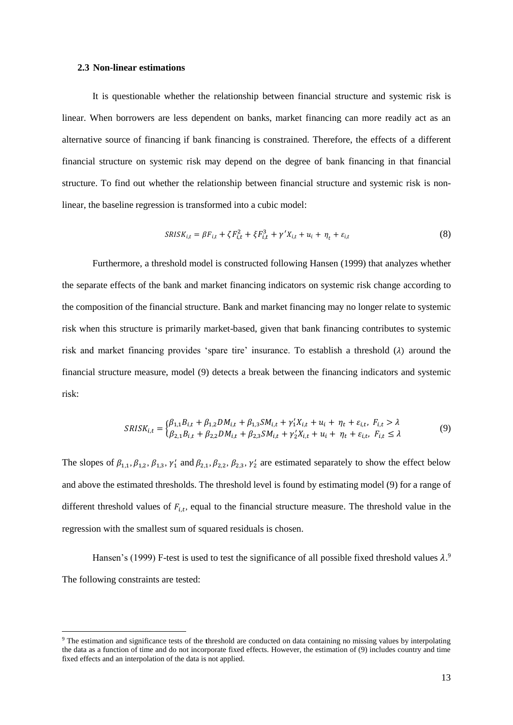#### **2.3 Non-linear estimations**

 $\overline{a}$ 

It is questionable whether the relationship between financial structure and systemic risk is linear. When borrowers are less dependent on banks, market financing can more readily act as an alternative source of financing if bank financing is constrained. Therefore, the effects of a different financial structure on systemic risk may depend on the degree of bank financing in that financial structure. To find out whether the relationship between financial structure and systemic risk is nonlinear, the baseline regression is transformed into a cubic model:

$$
SRISK_{i,t} = \beta F_{i,t} + \zeta F_{i,t}^2 + \xi F_{i,t}^3 + \gamma' X_{i,t} + u_i + \eta_t + \varepsilon_{i,t}
$$
\n(8)

Furthermore, a threshold model is constructed following Hansen (1999) that analyzes whether the separate effects of the bank and market financing indicators on systemic risk change according to the composition of the financial structure. Bank and market financing may no longer relate to systemic risk when this structure is primarily market-based, given that bank financing contributes to systemic risk and market financing provides 'spare tire' insurance. To establish a threshold  $(\lambda)$  around the financial structure measure, model (9) detects a break between the financing indicators and systemic risk:

$$
SRISK_{i,t} = \begin{cases} \beta_{1,1}B_{i,t} + \beta_{1,2}DM_{i,t} + \beta_{1,3}SM_{i,t} + \gamma_1' X_{i,t} + u_i + \eta_t + \varepsilon_{i,t}, \ F_{i,t} > \lambda \\ \beta_{2,1}B_{i,t} + \beta_{2,2}DM_{i,t} + \beta_{2,3}SM_{i,t} + \gamma_2' X_{i,t} + u_i + \eta_t + \varepsilon_{i,t}, \ F_{i,t} \le \lambda \end{cases} \tag{9}
$$

The slopes of  $\beta_{1,1}, \beta_{1,2}, \beta_{1,3}, \gamma'_1$  and  $\beta_{2,1}, \beta_{2,2}, \beta_{2,3}, \gamma'_2$  are estimated separately to show the effect below and above the estimated thresholds. The threshold level is found by estimating model (9) for a range of different threshold values of  $F_{i,t}$ , equal to the financial structure measure. The threshold value in the regression with the smallest sum of squared residuals is chosen.

Hansen's (1999) F-test is used to test the significance of all possible fixed threshold values  $\lambda$ .<sup>9</sup> The following constraints are tested:

<sup>9</sup> The estimation and significance tests of the **t**hreshold are conducted on data containing no missing values by interpolating the data as a function of time and do not incorporate fixed effects. However, the estimation of (9) includes country and time fixed effects and an interpolation of the data is not applied.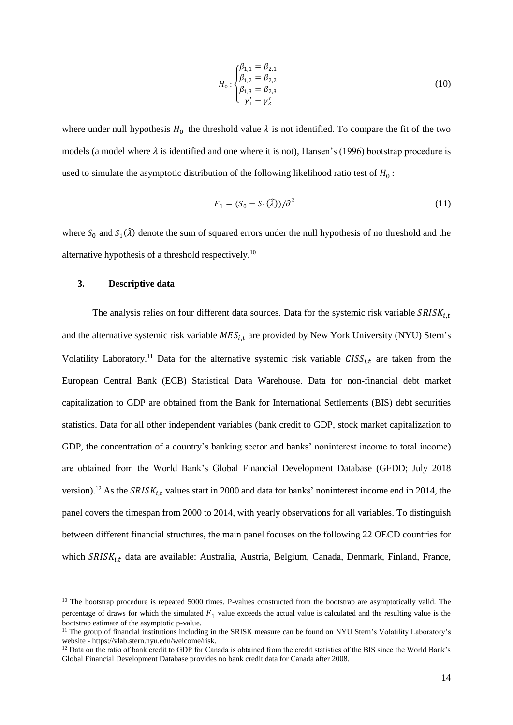$$
H_0: \begin{cases} \beta_{1,1} = \beta_{2,1} \\ \beta_{1,2} = \beta_{2,2} \\ \beta_{1,3} = \beta_{2,3} \\ \gamma_1' = \gamma_2' \end{cases}
$$
 (10)

where under null hypothesis  $H_0$  the threshold value  $\lambda$  is not identified. To compare the fit of the two models (a model where  $\lambda$  is identified and one where it is not), Hansen's (1996) bootstrap procedure is used to simulate the asymptotic distribution of the following likelihood ratio test of  $H_0$ :

$$
F_1 = (S_0 - S_1(\hat{\lambda}))/\hat{\sigma}^2
$$
 (11)

where  $S_0$  and  $S_1(\hat{\lambda})$  denote the sum of squared errors under the null hypothesis of no threshold and the alternative hypothesis of a threshold respectively.<sup>10</sup>

#### **3. Descriptive data**

**.** 

The analysis relies on four different data sources. Data for the systemic risk variable  $SRISK_{i,t}$ and the alternative systemic risk variable  $MES_{i,t}$  are provided by New York University (NYU) Stern's Volatility Laboratory.<sup>11</sup> Data for the alternative systemic risk variable  $CISS<sub>it</sub>$  are taken from the European Central Bank (ECB) Statistical Data Warehouse. Data for non-financial debt market capitalization to GDP are obtained from the Bank for International Settlements (BIS) debt securities statistics. Data for all other independent variables (bank credit to GDP, stock market capitalization to GDP, the concentration of a country's banking sector and banks' noninterest income to total income) are obtained from the World Bank's Global Financial Development Database (GFDD; July 2018 version).<sup>12</sup> As the  $SRISK_{i,t}$  values start in 2000 and data for banks' noninterest income end in 2014, the panel covers the timespan from 2000 to 2014, with yearly observations for all variables. To distinguish between different financial structures, the main panel focuses on the following 22 OECD countries for which  $SRISK_{i,t}$  data are available: Australia, Austria, Belgium, Canada, Denmark, Finland, France,

<sup>&</sup>lt;sup>10</sup> The bootstrap procedure is repeated 5000 times. P-values constructed from the bootstrap are asymptotically valid. The percentage of draws for which the simulated  $F_1$  value exceeds the actual value is calculated and the resulting value is the bootstrap estimate of the asymptotic p-value.

<sup>&</sup>lt;sup>11</sup> The group of financial institutions including in the SRISK measure can be found on NYU Stern's Volatility Laboratory's website - https://vlab.stern.nyu.edu/welcome/risk.

<sup>&</sup>lt;sup>12</sup> Data on the ratio of bank credit to GDP for Canada is obtained from the credit statistics of the BIS since the World Bank's Global Financial Development Database provides no bank credit data for Canada after 2008.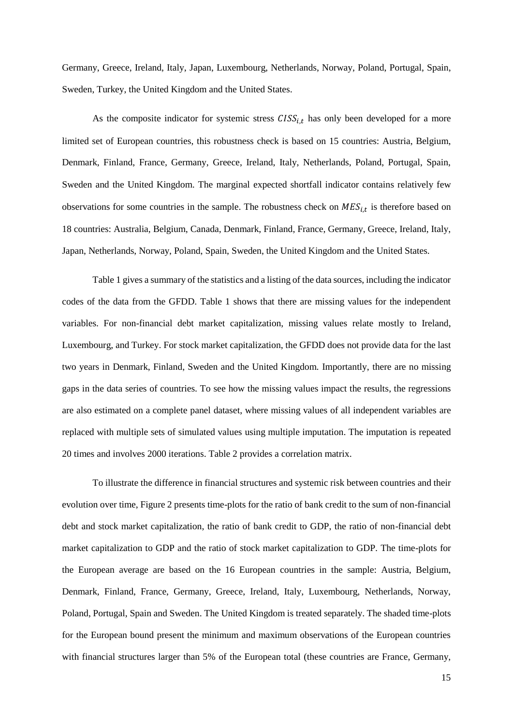Germany, Greece, Ireland, Italy, Japan, Luxembourg, Netherlands, Norway, Poland, Portugal, Spain, Sweden, Turkey, the United Kingdom and the United States.

As the composite indicator for systemic stress  $CISS<sub>it</sub>$  has only been developed for a more limited set of European countries, this robustness check is based on 15 countries: Austria, Belgium, Denmark, Finland, France, Germany, Greece, Ireland, Italy, Netherlands, Poland, Portugal, Spain, Sweden and the United Kingdom. The marginal expected shortfall indicator contains relatively few observations for some countries in the sample. The robustness check on  $MES_{i,t}$  is therefore based on 18 countries: Australia, Belgium, Canada, Denmark, Finland, France, Germany, Greece, Ireland, Italy, Japan, Netherlands, Norway, Poland, Spain, Sweden, the United Kingdom and the United States.

Table 1 gives a summary of the statistics and a listing of the data sources, including the indicator codes of the data from the GFDD. Table 1 shows that there are missing values for the independent variables. For non-financial debt market capitalization, missing values relate mostly to Ireland, Luxembourg, and Turkey. For stock market capitalization, the GFDD does not provide data for the last two years in Denmark, Finland, Sweden and the United Kingdom. Importantly, there are no missing gaps in the data series of countries. To see how the missing values impact the results, the regressions are also estimated on a complete panel dataset, where missing values of all independent variables are replaced with multiple sets of simulated values using multiple imputation. The imputation is repeated 20 times and involves 2000 iterations. Table 2 provides a correlation matrix.

To illustrate the difference in financial structures and systemic risk between countries and their evolution over time, Figure 2 presents time-plots for the ratio of bank credit to the sum of non-financial debt and stock market capitalization, the ratio of bank credit to GDP, the ratio of non-financial debt market capitalization to GDP and the ratio of stock market capitalization to GDP. The time-plots for the European average are based on the 16 European countries in the sample: Austria, Belgium, Denmark, Finland, France, Germany, Greece, Ireland, Italy, Luxembourg, Netherlands, Norway, Poland, Portugal, Spain and Sweden. The United Kingdom is treated separately. The shaded time-plots for the European bound present the minimum and maximum observations of the European countries with financial structures larger than 5% of the European total (these countries are France, Germany,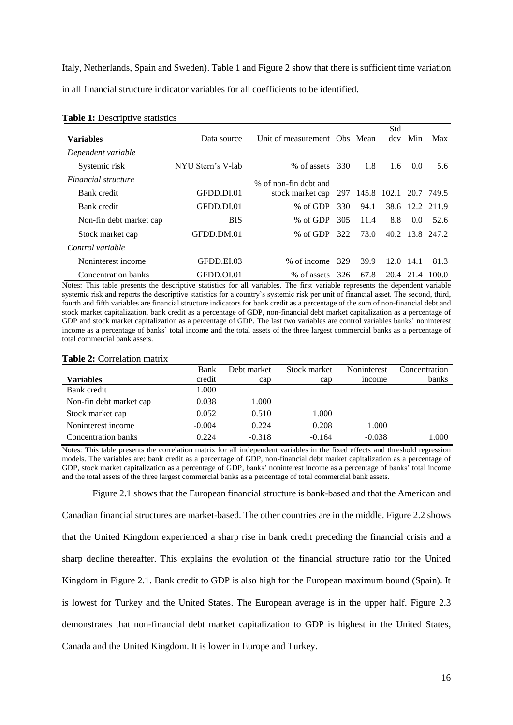Italy, Netherlands, Spain and Sweden). Table 1 and Figure 2 show that there is sufficient time variation in all financial structure indicator variables for all coefficients to be identified.

|                            |                   |                              |     |                            | Std           |               |                 |
|----------------------------|-------------------|------------------------------|-----|----------------------------|---------------|---------------|-----------------|
| <b>Variables</b>           | Data source       | Unit of measurement Obs Mean |     |                            | dev           | Min           | Max             |
| Dependent variable         |                   |                              |     |                            |               |               |                 |
| Systemic risk              | NYU Stern's V-lab | % of assets                  | 330 | 1.8                        | $1.6^{\circ}$ | $0.0^{\circ}$ | 5.6             |
| <i>Financial structure</i> |                   | % of non-fin debt and        |     |                            |               |               |                 |
| Bank credit                | GFDD.DI.01        | stock market cap             |     | 297 145.8 102.1 20.7 749.5 |               |               |                 |
| Bank credit                | GFDD.DI.01        | % of GDP                     | 330 | 94.1                       |               |               | 38.6 12.2 211.9 |
| Non-fin debt market cap    | <b>BIS</b>        | $%$ of GDP                   | 305 | 11.4                       | 8.8           | $0.0^{\circ}$ | 52.6            |
| Stock market cap           | GFDD.DM.01        | $%$ of GDP                   | 322 | 73.0                       |               |               | 40.2 13.8 247.2 |
| Control variable           |                   |                              |     |                            |               |               |                 |
| Noninterest income         | GFDD.EI.03        | % of income                  | 329 | 39.9                       | 12.0          | -14.1         | 81.3            |
| <b>Concentration banks</b> | GFDD.OL01         | % of assets                  | 326 | 67.8                       | 20.4          | 21.4          | 100.0           |

## **Table 1:** Descriptive statistics

Notes: This table presents the descriptive statistics for all variables. The first variable represents the dependent variable systemic risk and reports the descriptive statistics for a country's systemic risk per unit of financial asset. The second, third, fourth and fifth variables are financial structure indicators for bank credit as a percentage of the sum of non-financial debt and stock market capitalization, bank credit as a percentage of GDP, non-financial debt market capitalization as a percentage of GDP and stock market capitalization as a percentage of GDP. The last two variables are control variables banks' noninterest income as a percentage of banks' total income and the total assets of the three largest commercial banks as a percentage of total commercial bank assets.

| ****** ** © 011 01401011 111401111 |          |             |              |                    |               |
|------------------------------------|----------|-------------|--------------|--------------------|---------------|
|                                    | Bank     | Debt market | Stock market | <b>Noninterest</b> | Concentration |
| <b>Variables</b>                   | credit   | cap         | cap          | <i>n</i> come      | banks         |
| Bank credit                        | 1.000    |             |              |                    |               |
| Non-fin debt market cap            | 0.038    | 1.000       |              |                    |               |
| Stock market cap                   | 0.052    | 0.510       | 1.000        |                    |               |
| Noninterest income                 | $-0.004$ | 0.224       | 0.208        | 1.000              |               |
| <b>Concentration banks</b>         | 0.224    | $-0.318$    | $-0.164$     | $-0.038$           | 000.          |

## **Table 2:** Correlation matrix

Notes: This table presents the correlation matrix for all independent variables in the fixed effects and threshold regression models. The variables are: bank credit as a percentage of GDP, non-financial debt market capitalization as a percentage of GDP, stock market capitalization as a percentage of GDP, banks' noninterest income as a percentage of banks' total income and the total assets of the three largest commercial banks as a percentage of total commercial bank assets.

Figure 2.1 shows that the European financial structure is bank-based and that the American and Canadian financial structures are market-based. The other countries are in the middle. Figure 2.2 shows that the United Kingdom experienced a sharp rise in bank credit preceding the financial crisis and a sharp decline thereafter. This explains the evolution of the financial structure ratio for the United Kingdom in Figure 2.1. Bank credit to GDP is also high for the European maximum bound (Spain). It is lowest for Turkey and the United States. The European average is in the upper half. Figure 2.3 demonstrates that non-financial debt market capitalization to GDP is highest in the United States, Canada and the United Kingdom. It is lower in Europe and Turkey.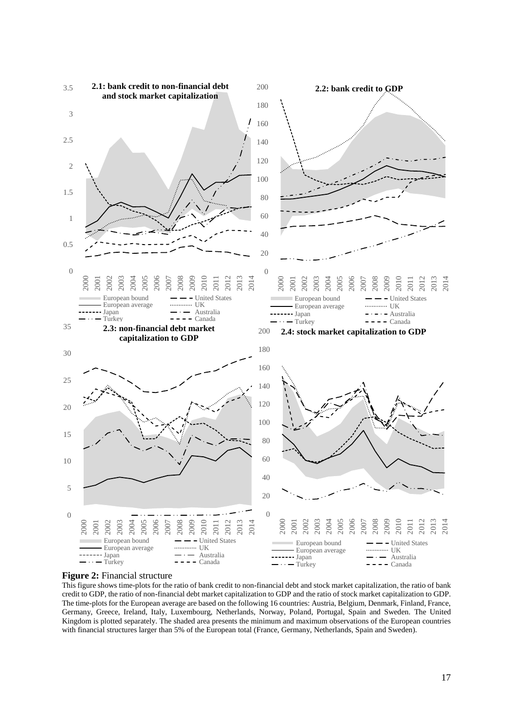

#### **Figure 2:** Financial structure

This figure shows time-plots for the ratio of bank credit to non-financial debt and stock market capitalization, the ratio of bank credit to GDP, the ratio of non-financial debt market capitalization to GDP and the ratio of stock market capitalization to GDP. The time-plots for the European average are based on the following 16 countries: Austria, Belgium, Denmark, Finland, France, Germany, Greece, Ireland, Italy, Luxembourg, Netherlands, Norway, Poland, Portugal, Spain and Sweden. The United Kingdom is plotted separately. The shaded area presents the minimum and maximum observations of the European countries with financial structures larger than 5% of the European total (France, Germany, Netherlands, Spain and Sweden).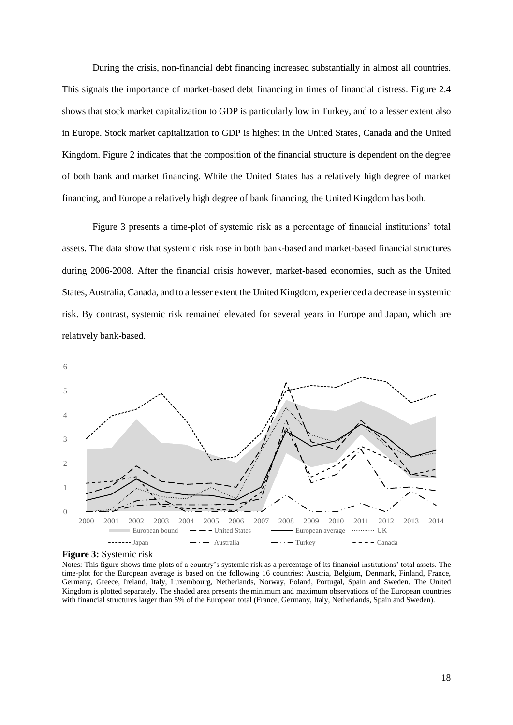During the crisis, non-financial debt financing increased substantially in almost all countries. This signals the importance of market-based debt financing in times of financial distress. Figure 2.4 shows that stock market capitalization to GDP is particularly low in Turkey, and to a lesser extent also in Europe. Stock market capitalization to GDP is highest in the United States, Canada and the United Kingdom. Figure 2 indicates that the composition of the financial structure is dependent on the degree of both bank and market financing. While the United States has a relatively high degree of market financing, and Europe a relatively high degree of bank financing, the United Kingdom has both.

Figure 3 presents a time-plot of systemic risk as a percentage of financial institutions' total assets. The data show that systemic risk rose in both bank-based and market-based financial structures during 2006-2008. After the financial crisis however, market-based economies, such as the United States, Australia, Canada, and to a lesser extent the United Kingdom, experienced a decrease in systemic risk. By contrast, systemic risk remained elevated for several years in Europe and Japan, which are relatively bank-based.



**Figure 3:** Systemic risk

Notes: This figure shows time-plots of a country's systemic risk as a percentage of its financial institutions' total assets. The time-plot for the European average is based on the following 16 countries: Austria, Belgium, Denmark, Finland, France, Germany, Greece, Ireland, Italy, Luxembourg, Netherlands, Norway, Poland, Portugal, Spain and Sweden. The United Kingdom is plotted separately. The shaded area presents the minimum and maximum observations of the European countries with financial structures larger than 5% of the European total (France, Germany, Italy, Netherlands, Spain and Sweden).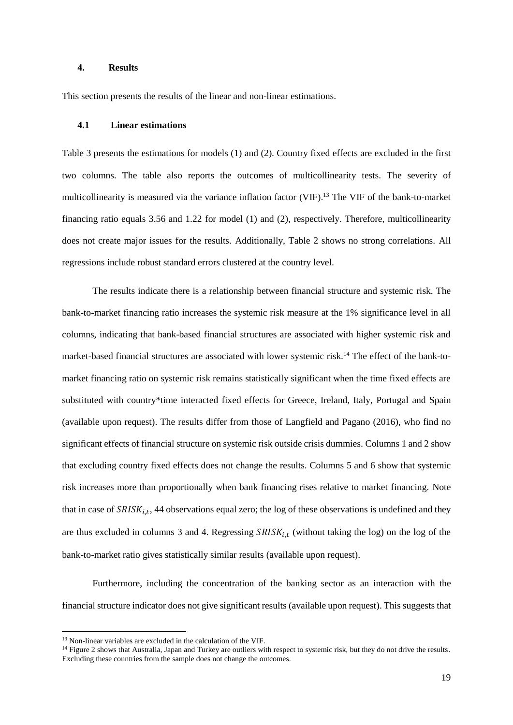#### **4. Results**

This section presents the results of the linear and non-linear estimations.

#### **4.1 Linear estimations**

Table 3 presents the estimations for models (1) and (2). Country fixed effects are excluded in the first two columns. The table also reports the outcomes of multicollinearity tests. The severity of multicollinearity is measured via the variance inflation factor (VIF). <sup>13</sup> The VIF of the bank-to-market financing ratio equals 3.56 and 1.22 for model (1) and (2), respectively. Therefore, multicollinearity does not create major issues for the results. Additionally, Table 2 shows no strong correlations. All regressions include robust standard errors clustered at the country level.

The results indicate there is a relationship between financial structure and systemic risk. The bank-to-market financing ratio increases the systemic risk measure at the 1% significance level in all columns, indicating that bank-based financial structures are associated with higher systemic risk and market-based financial structures are associated with lower systemic risk.<sup>14</sup> The effect of the bank-tomarket financing ratio on systemic risk remains statistically significant when the time fixed effects are substituted with country\*time interacted fixed effects for Greece, Ireland, Italy, Portugal and Spain (available upon request). The results differ from those of Langfield and Pagano (2016), who find no significant effects of financial structure on systemic risk outside crisis dummies. Columns 1 and 2 show that excluding country fixed effects does not change the results. Columns 5 and 6 show that systemic risk increases more than proportionally when bank financing rises relative to market financing. Note that in case of  $SRISK_{i,t}$ , 44 observations equal zero; the log of these observations is undefined and they are thus excluded in columns 3 and 4. Regressing  $SRISK_{i,t}$  (without taking the log) on the log of the bank-to-market ratio gives statistically similar results (available upon request).

Furthermore, including the concentration of the banking sector as an interaction with the financial structure indicator does not give significant results (available upon request). This suggests that

 $\overline{a}$ 

<sup>13</sup> Non-linear variables are excluded in the calculation of the VIF.

<sup>&</sup>lt;sup>14</sup> Figure 2 shows that Australia, Japan and Turkey are outliers with respect to systemic risk, but they do not drive the results. Excluding these countries from the sample does not change the outcomes.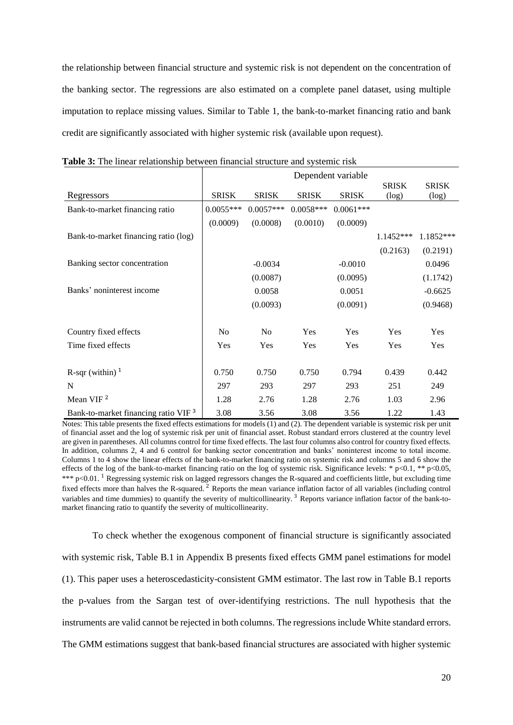the relationship between financial structure and systemic risk is not dependent on the concentration of the banking sector. The regressions are also estimated on a complete panel dataset, using multiple imputation to replace missing values. Similar to Table 1, the bank-to-market financing ratio and bank credit are significantly associated with higher systemic risk (available upon request).

|                                                 | Dependent variable |              |              |              |                       |                          |
|-------------------------------------------------|--------------------|--------------|--------------|--------------|-----------------------|--------------------------|
| Regressors                                      | <b>SRISK</b>       | <b>SRISK</b> | <b>SRISK</b> | <b>SRISK</b> | <b>SRISK</b><br>(log) | <b>SRISK</b><br>$(\log)$ |
| Bank-to-market financing ratio                  | $0.0055***$        | $0.0057***$  | $0.0058***$  | $0.0061***$  |                       |                          |
|                                                 | (0.0009)           | (0.0008)     | (0.0010)     | (0.0009)     |                       |                          |
| Bank-to-market financing ratio (log)            |                    |              |              |              | 1.1452***             | 1.1852***                |
|                                                 |                    |              |              |              | (0.2163)              | (0.2191)                 |
| Banking sector concentration                    |                    | $-0.0034$    |              | $-0.0010$    |                       | 0.0496                   |
|                                                 |                    | (0.0087)     |              | (0.0095)     |                       | (1.1742)                 |
| Banks' noninterest income                       |                    | 0.0058       |              | 0.0051       |                       | $-0.6625$                |
|                                                 |                    | (0.0093)     |              | (0.0091)     |                       | (0.9468)                 |
| Country fixed effects                           | N <sub>o</sub>     | No           | Yes          | Yes          | Yes                   | Yes                      |
| Time fixed effects                              | Yes                | Yes          | Yes          | Yes          | Yes                   | Yes                      |
| R-sqr (within) $1$                              | 0.750              | 0.750        | 0.750        | 0.794        | 0.439                 | 0.442                    |
| N                                               | 297                | 293          | 297          | 293          | 251                   | 249                      |
| Mean VIF <sup>2</sup>                           | 1.28               | 2.76         | 1.28         | 2.76         | 1.03                  | 2.96                     |
| Bank-to-market financing ratio VIF <sup>3</sup> | 3.08               | 3.56         | 3.08         | 3.56         | 1.22                  | 1.43                     |

**Table 3:** The linear relationship between financial structure and systemic risk

Notes: This table presents the fixed effects estimations for models (1) and (2). The dependent variable is systemic risk per unit of financial asset and the log of systemic risk per unit of financial asset. Robust standard errors clustered at the country level are given in parentheses. All columns control for time fixed effects. The last four columns also control for country fixed effects. In addition, columns 2, 4 and 6 control for banking sector concentration and banks' noninterest income to total income. Columns 1 to 4 show the linear effects of the bank-to-market financing ratio on systemic risk and columns 5 and 6 show the effects of the log of the bank-to-market financing ratio on the log of systemic risk. Significance levels: \*  $p<0.1$ , \*\*  $p<0.05$ , \*\*\*  $p<0.01$ . <sup>1</sup> Regressing systemic risk on lagged regressors changes the R-squared and coefficients little, but excluding time fixed effects more than halves the R-squared. <sup>2</sup> Reports the mean variance inflation factor of all variables (including control variables and time dummies) to quantify the severity of multicollinearity.<sup>3</sup> Reports variance inflation factor of the bank-tomarket financing ratio to quantify the severity of multicollinearity.

To check whether the exogenous component of financial structure is significantly associated with systemic risk, Table B.1 in Appendix B presents fixed effects GMM panel estimations for model (1). This paper uses a heteroscedasticity-consistent GMM estimator. The last row in Table B.1 reports the p-values from the Sargan test of over-identifying restrictions. The null hypothesis that the instruments are valid cannot be rejected in both columns. The regressions include White standard errors. The GMM estimations suggest that bank-based financial structures are associated with higher systemic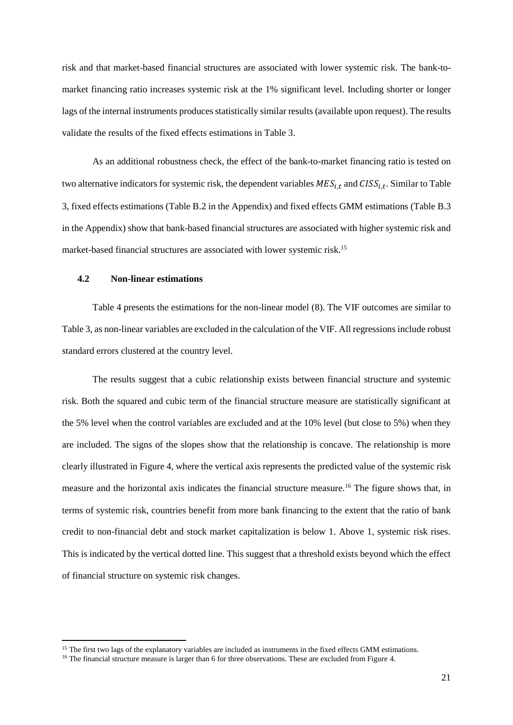risk and that market-based financial structures are associated with lower systemic risk. The bank-tomarket financing ratio increases systemic risk at the 1% significant level. Including shorter or longer lags of the internal instruments produces statistically similar results (available upon request). The results validate the results of the fixed effects estimations in Table 3.

As an additional robustness check, the effect of the bank-to-market financing ratio is tested on two alternative indicators for systemic risk, the dependent variables  $MES_{i,t}$  and  $CISS_{i,t}$ . Similar to Table 3, fixed effects estimations (Table B.2 in the Appendix) and fixed effects GMM estimations (Table B.3 in the Appendix) show that bank-based financial structures are associated with higher systemic risk and market-based financial structures are associated with lower systemic risk.<sup>15</sup>

## **4.2 Non-linear estimations**

**.** 

Table 4 presents the estimations for the non-linear model (8). The VIF outcomes are similar to Table 3, as non-linear variables are excluded in the calculation of the VIF. All regressions include robust standard errors clustered at the country level.

The results suggest that a cubic relationship exists between financial structure and systemic risk. Both the squared and cubic term of the financial structure measure are statistically significant at the 5% level when the control variables are excluded and at the 10% level (but close to 5%) when they are included. The signs of the slopes show that the relationship is concave. The relationship is more clearly illustrated in Figure 4, where the vertical axis represents the predicted value of the systemic risk measure and the horizontal axis indicates the financial structure measure.<sup>16</sup> The figure shows that, in terms of systemic risk, countries benefit from more bank financing to the extent that the ratio of bank credit to non-financial debt and stock market capitalization is below 1. Above 1, systemic risk rises. This is indicated by the vertical dotted line. This suggest that a threshold exists beyond which the effect of financial structure on systemic risk changes.

<sup>&</sup>lt;sup>15</sup> The first two lags of the explanatory variables are included as instruments in the fixed effects GMM estimations.

<sup>&</sup>lt;sup>16</sup> The financial structure measure is larger than 6 for three observations. These are excluded from Figure 4.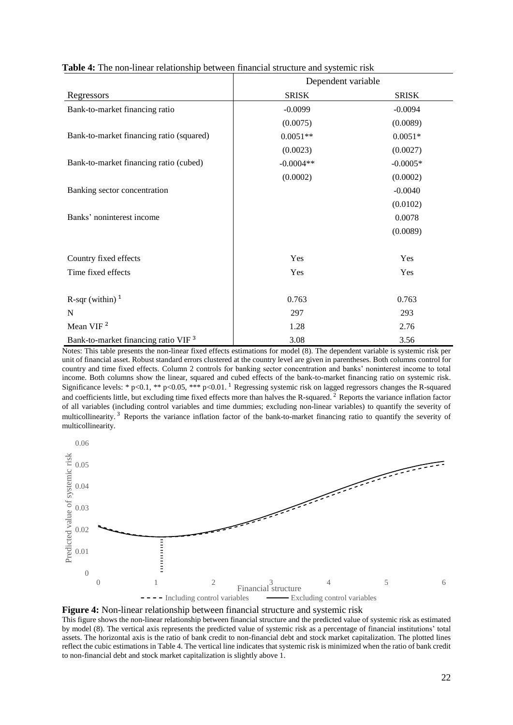|                                                 | Dependent variable |              |
|-------------------------------------------------|--------------------|--------------|
| Regressors                                      | <b>SRISK</b>       | <b>SRISK</b> |
| Bank-to-market financing ratio                  | $-0.0099$          | $-0.0094$    |
|                                                 | (0.0075)           | (0.0089)     |
| Bank-to-market financing ratio (squared)        | $0.0051**$         | $0.0051*$    |
|                                                 | (0.0023)           | (0.0027)     |
| Bank-to-market financing ratio (cubed)          | $-0.0004**$        | $-0.0005*$   |
|                                                 | (0.0002)           | (0.0002)     |
| Banking sector concentration                    |                    | $-0.0040$    |
|                                                 |                    | (0.0102)     |
| Banks' noninterest income                       |                    | 0.0078       |
|                                                 |                    | (0.0089)     |
| Country fixed effects                           | Yes                | Yes          |
| Time fixed effects                              | Yes                | Yes          |
| R-sqr (within) $1$                              | 0.763              | 0.763        |
| N                                               | 297                | 293          |
| Mean VIF <sup>2</sup>                           | 1.28               | 2.76         |
| Bank-to-market financing ratio VIF <sup>3</sup> | 3.08               | 3.56         |

**Table 4:** The non-linear relationship between financial structure and systemic risk

Notes: This table presents the non-linear fixed effects estimations for model (8). The dependent variable is systemic risk per unit of financial asset. Robust standard errors clustered at the country level are given in parentheses. Both columns control for country and time fixed effects. Column 2 controls for banking sector concentration and banks' noninterest income to total income. Both columns show the linear, squared and cubed effects of the bank-to-market financing ratio on systemic risk. Significance levels: \* p<0.1, \*\* p<0.05, \*\*\* p<0.01. <sup>1</sup> Regressing systemic risk on lagged regressors changes the R-squared and coefficients little, but excluding time fixed effects more than halves the R-squared.<sup>2</sup> Reports the variance inflation factor of all variables (including control variables and time dummies; excluding non-linear variables) to quantify the severity of multicollinearity. <sup>3</sup> Reports the variance inflation factor of the bank-to-market financing ratio to quantify the severity of multicollinearity.





This figure shows the non-linear relationship between financial structure and the predicted value of systemic risk as estimated by model (8). The vertical axis represents the predicted value of systemic risk as a percentage of financial institutions' total assets. The horizontal axis is the ratio of bank credit to non-financial debt and stock market capitalization. The plotted lines reflect the cubic estimations in Table 4. The vertical line indicates that systemic risk is minimized when the ratio of bank credit to non-financial debt and stock market capitalization is slightly above 1.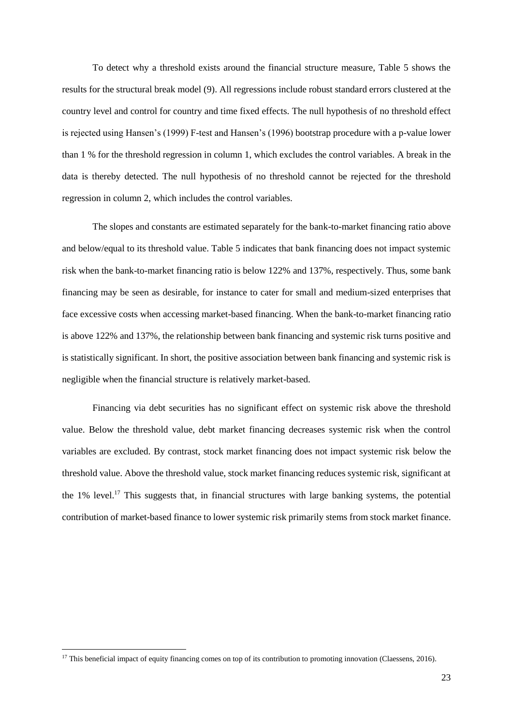To detect why a threshold exists around the financial structure measure, Table 5 shows the results for the structural break model (9). All regressions include robust standard errors clustered at the country level and control for country and time fixed effects. The null hypothesis of no threshold effect is rejected using Hansen's (1999) F-test and Hansen's (1996) bootstrap procedure with a p-value lower than 1 % for the threshold regression in column 1, which excludes the control variables. A break in the data is thereby detected. The null hypothesis of no threshold cannot be rejected for the threshold regression in column 2, which includes the control variables.

The slopes and constants are estimated separately for the bank-to-market financing ratio above and below/equal to its threshold value. Table 5 indicates that bank financing does not impact systemic risk when the bank-to-market financing ratio is below 122% and 137%, respectively. Thus, some bank financing may be seen as desirable, for instance to cater for small and medium-sized enterprises that face excessive costs when accessing market-based financing. When the bank-to-market financing ratio is above 122% and 137%, the relationship between bank financing and systemic risk turns positive and is statistically significant. In short, the positive association between bank financing and systemic risk is negligible when the financial structure is relatively market-based.

Financing via debt securities has no significant effect on systemic risk above the threshold value. Below the threshold value, debt market financing decreases systemic risk when the control variables are excluded. By contrast, stock market financing does not impact systemic risk below the threshold value. Above the threshold value, stock market financing reduces systemic risk, significant at the 1% level.<sup>17</sup> This suggests that, in financial structures with large banking systems, the potential contribution of market-based finance to lower systemic risk primarily stems from stock market finance.

**.** 

<sup>&</sup>lt;sup>17</sup> This beneficial impact of equity financing comes on top of its contribution to promoting innovation (Claessens, 2016).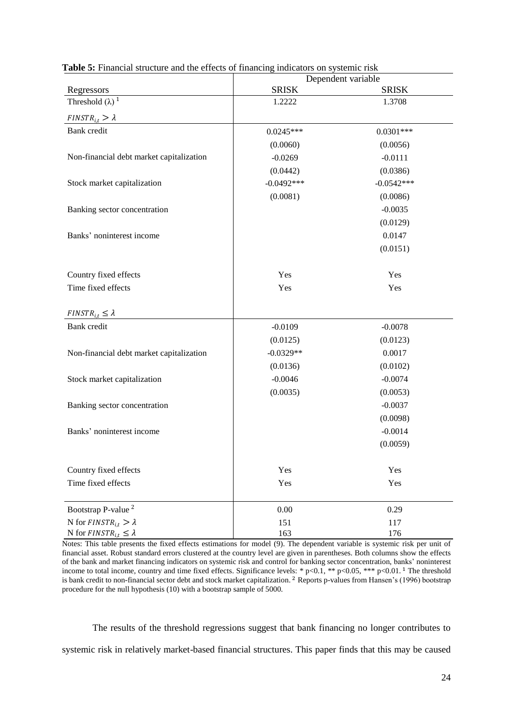|                                            | Dependent variable |              |  |  |  |
|--------------------------------------------|--------------------|--------------|--|--|--|
| Regressors                                 | <b>SRISK</b>       | <b>SRISK</b> |  |  |  |
| Threshold $(\lambda)$ <sup>1</sup>         | 1.2222             | 1.3708       |  |  |  |
| $FINSTR_{i,t} > \lambda$                   |                    |              |  |  |  |
| Bank credit                                | $0.0245***$        | $0.0301***$  |  |  |  |
|                                            | (0.0060)           | (0.0056)     |  |  |  |
| Non-financial debt market capitalization   | $-0.0269$          | $-0.0111$    |  |  |  |
|                                            | (0.0442)           | (0.0386)     |  |  |  |
| Stock market capitalization                | $-0.0492***$       | $-0.0542***$ |  |  |  |
|                                            | (0.0081)           | (0.0086)     |  |  |  |
| Banking sector concentration               |                    | $-0.0035$    |  |  |  |
|                                            |                    | (0.0129)     |  |  |  |
| Banks' noninterest income                  |                    | 0.0147       |  |  |  |
|                                            |                    | (0.0151)     |  |  |  |
| Country fixed effects                      | Yes                | Yes          |  |  |  |
| Time fixed effects                         | Yes                | Yes          |  |  |  |
| $FINSTR_{i,t} \leq \lambda$                |                    |              |  |  |  |
| <b>Bank</b> credit                         | $-0.0109$          | $-0.0078$    |  |  |  |
|                                            | (0.0125)           | (0.0123)     |  |  |  |
| Non-financial debt market capitalization   | $-0.0329**$        | 0.0017       |  |  |  |
|                                            | (0.0136)           | (0.0102)     |  |  |  |
| Stock market capitalization                | $-0.0046$          | $-0.0074$    |  |  |  |
|                                            | (0.0035)           | (0.0053)     |  |  |  |
| Banking sector concentration               |                    | $-0.0037$    |  |  |  |
|                                            |                    | (0.0098)     |  |  |  |
| Banks' noninterest income                  |                    | $-0.0014$    |  |  |  |
|                                            |                    | (0.0059)     |  |  |  |
| Country fixed effects                      | Yes                | Yes          |  |  |  |
| Time fixed effects                         | Yes                | Yes          |  |  |  |
| Bootstrap P-value $^{\rm 2}$               | 0.00               | 0.29         |  |  |  |
| N for $\textit{FINSTR}_{i,t} > \lambda$    | 151                | 117          |  |  |  |
| N for $\textit{FINSTR}_{i,t} \leq \lambda$ | 163                | 176          |  |  |  |

**Table 5:** Financial structure and the effects of financing indicators on systemic risk

Notes: This table presents the fixed effects estimations for model (9). The dependent variable is systemic risk per unit of financial asset. Robust standard errors clustered at the country level are given in parentheses. Both columns show the effects of the bank and market financing indicators on systemic risk and control for banking sector concentration, banks' noninterest income to total income, country and time fixed effects. Significance levels: \* p<0.1, \*\* p<0.05, \*\*\* p<0.01. <sup>1</sup> The threshold is bank credit to non-financial sector debt and stock market capitalization. <sup>2</sup> Reports p-values from Hansen's (1996) bootstrap procedure for the null hypothesis (10) with a bootstrap sample of 5000.

The results of the threshold regressions suggest that bank financing no longer contributes to systemic risk in relatively market-based financial structures. This paper finds that this may be caused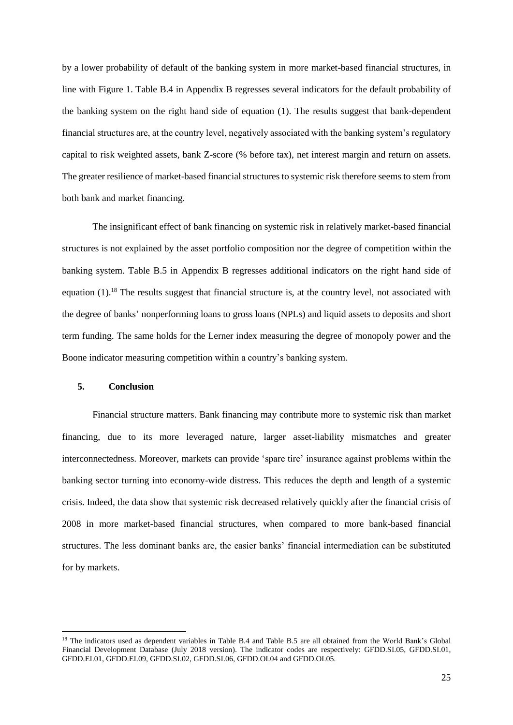by a lower probability of default of the banking system in more market-based financial structures, in line with Figure 1. Table B.4 in Appendix B regresses several indicators for the default probability of the banking system on the right hand side of equation (1). The results suggest that bank-dependent financial structures are, at the country level, negatively associated with the banking system's regulatory capital to risk weighted assets, bank Z-score (% before tax), net interest margin and return on assets. The greater resilience of market-based financial structures to systemic risk therefore seems to stem from both bank and market financing.

The insignificant effect of bank financing on systemic risk in relatively market-based financial structures is not explained by the asset portfolio composition nor the degree of competition within the banking system. Table B.5 in Appendix B regresses additional indicators on the right hand side of equation (1).<sup>18</sup> The results suggest that financial structure is, at the country level, not associated with the degree of banks' nonperforming loans to gross loans (NPLs) and liquid assets to deposits and short term funding. The same holds for the Lerner index measuring the degree of monopoly power and the Boone indicator measuring competition within a country's banking system.

#### **5. Conclusion**

 $\overline{a}$ 

Financial structure matters. Bank financing may contribute more to systemic risk than market financing, due to its more leveraged nature, larger asset-liability mismatches and greater interconnectedness. Moreover, markets can provide 'spare tire' insurance against problems within the banking sector turning into economy-wide distress. This reduces the depth and length of a systemic crisis. Indeed, the data show that systemic risk decreased relatively quickly after the financial crisis of 2008 in more market-based financial structures, when compared to more bank-based financial structures. The less dominant banks are, the easier banks' financial intermediation can be substituted for by markets.

<sup>&</sup>lt;sup>18</sup> The indicators used as dependent variables in Table B.4 and Table B.5 are all obtained from the World Bank's Global Financial Development Database (July 2018 version). The indicator codes are respectively: GFDD.SI.05, GFDD.SI.01, GFDD.EI.01, GFDD.EI.09, GFDD.SI.02, GFDD.SI.06, GFDD.OI.04 and GFDD.OI.05.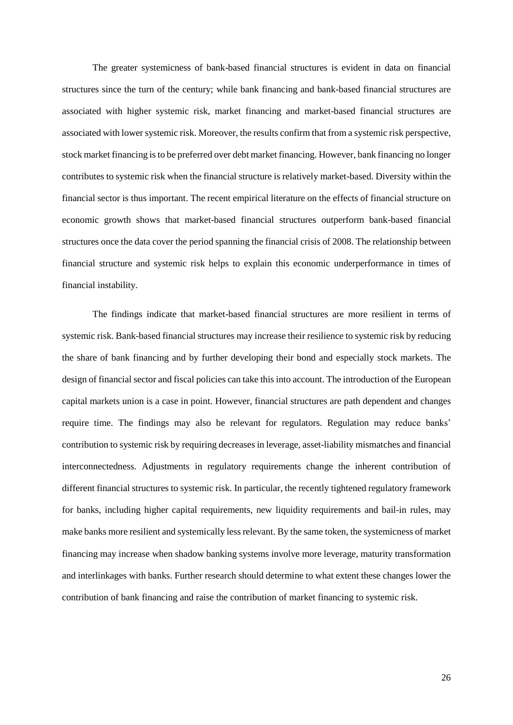The greater systemicness of bank-based financial structures is evident in data on financial structures since the turn of the century; while bank financing and bank-based financial structures are associated with higher systemic risk, market financing and market-based financial structures are associated with lower systemic risk. Moreover, the results confirm that from a systemic risk perspective, stock market financing is to be preferred over debt market financing. However, bank financing no longer contributes to systemic risk when the financial structure is relatively market-based. Diversity within the financial sector is thus important. The recent empirical literature on the effects of financial structure on economic growth shows that market-based financial structures outperform bank-based financial structures once the data cover the period spanning the financial crisis of 2008. The relationship between financial structure and systemic risk helps to explain this economic underperformance in times of financial instability.

The findings indicate that market-based financial structures are more resilient in terms of systemic risk. Bank-based financial structures may increase their resilience to systemic risk by reducing the share of bank financing and by further developing their bond and especially stock markets. The design of financial sector and fiscal policies can take this into account. The introduction of the European capital markets union is a case in point. However, financial structures are path dependent and changes require time. The findings may also be relevant for regulators. Regulation may reduce banks' contribution to systemic risk by requiring decreases in leverage, asset-liability mismatches and financial interconnectedness. Adjustments in regulatory requirements change the inherent contribution of different financial structures to systemic risk. In particular, the recently tightened regulatory framework for banks, including higher capital requirements, new liquidity requirements and bail-in rules, may make banks more resilient and systemically less relevant. By the same token, the systemicness of market financing may increase when shadow banking systems involve more leverage, maturity transformation and interlinkages with banks. Further research should determine to what extent these changes lower the contribution of bank financing and raise the contribution of market financing to systemic risk.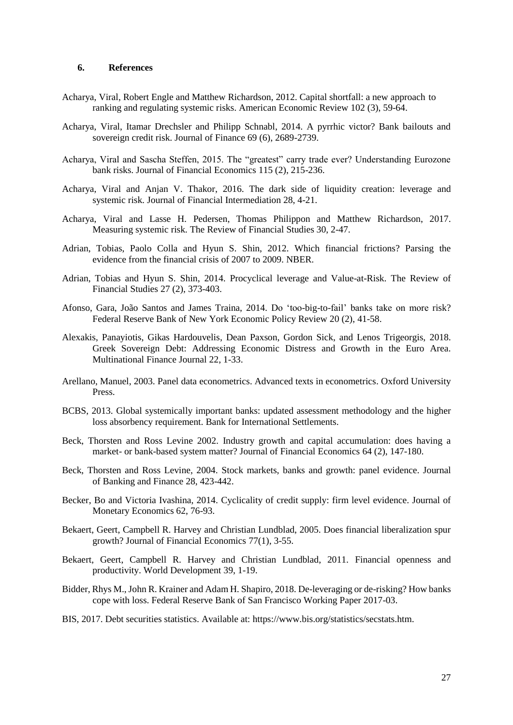#### **6. References**

- Acharya, Viral, Robert Engle and Matthew Richardson, 2012. Capital shortfall: a new approach to ranking and regulating systemic risks. American Economic Review 102 (3), 59-64.
- Acharya, Viral, Itamar Drechsler and Philipp Schnabl, 2014. A pyrrhic victor? Bank bailouts and sovereign credit risk. Journal of Finance 69 (6), 2689-2739.
- Acharya, Viral and Sascha Steffen, 2015. The "greatest" carry trade ever? Understanding Eurozone bank risks. Journal of Financial Economics 115 (2), 215-236.
- Acharya, Viral and Anjan V. Thakor, 2016. The dark side of liquidity creation: leverage and systemic risk. Journal of Financial Intermediation 28, 4-21.
- Acharya, Viral and Lasse H. Pedersen, Thomas Philippon and Matthew Richardson, 2017. Measuring systemic risk. The Review of Financial Studies 30, 2-47.
- Adrian, Tobias, Paolo Colla and Hyun S. Shin, 2012. Which financial frictions? Parsing the evidence from the financial crisis of 2007 to 2009. NBER.
- Adrian, Tobias and Hyun S. Shin, 2014. Procyclical leverage and Value-at-Risk. The Review of Financial Studies 27 (2), 373-403.
- Afonso, Gara, João Santos and James Traina, 2014. Do 'too-big-to-fail' banks take on more risk? Federal Reserve Bank of New York Economic Policy Review 20 (2), 41-58.
- Alexakis, Panayiotis, Gikas Hardouvelis, Dean Paxson, Gordon Sick, and Lenos Trigeorgis, 2018. Greek Sovereign Debt: Addressing Economic Distress and Growth in the Euro Area. Multinational Finance Journal 22, 1-33.
- Arellano, Manuel, 2003. Panel data econometrics. Advanced texts in econometrics. Oxford University Press.
- BCBS, 2013. Global systemically important banks: updated assessment methodology and the higher loss absorbency requirement. Bank for International Settlements.
- Beck, Thorsten and Ross Levine 2002. Industry growth and capital accumulation: does having a market- or bank-based system matter? Journal of Financial Economics 64 (2), 147-180.
- Beck, Thorsten and Ross Levine, 2004. Stock markets, banks and growth: panel evidence. Journal of Banking and Finance 28, 423-442.
- Becker, Bo and Victoria Ivashina, 2014. Cyclicality of credit supply: firm level evidence. Journal of Monetary Economics 62, 76-93.
- Bekaert, Geert, Campbell R. Harvey and Christian Lundblad, 2005. Does financial liberalization spur growth? Journal of Financial Economics 77(1), 3-55.
- Bekaert, Geert, Campbell R. Harvey and Christian Lundblad, 2011. Financial openness and productivity. World Development 39, 1-19.
- Bidder, Rhys M., John R. Krainer and Adam H. Shapiro, 2018. De-leveraging or de-risking? How banks cope with loss. Federal Reserve Bank of San Francisco Working Paper 2017-03.
- BIS, 2017. Debt securities statistics. Available at: https://www.bis.org/statistics/secstats.htm.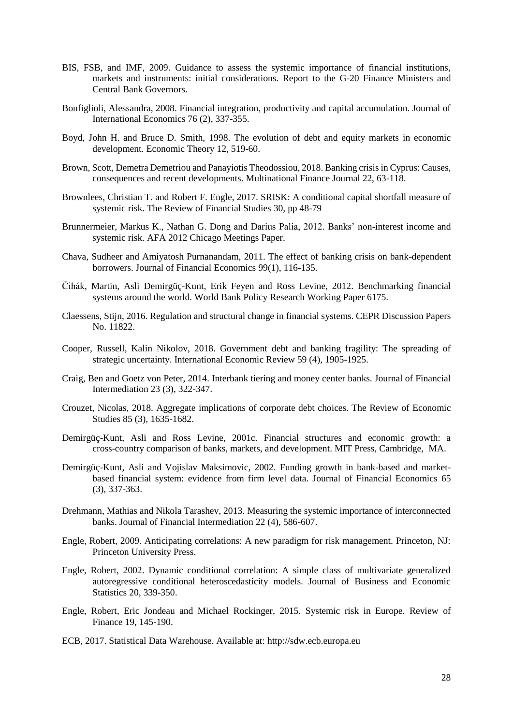- BIS, FSB, and IMF, 2009. Guidance to assess the systemic importance of financial institutions, markets and instruments: initial considerations. Report to the G-20 Finance Ministers and Central Bank Governors.
- Bonfiglioli, Alessandra, 2008. Financial integration, productivity and capital accumulation. Journal of International Economics 76 (2), 337-355.
- Boyd, John H. and Bruce D. Smith, 1998. The evolution of debt and equity markets in economic development. Economic Theory 12, 519-60.
- Brown, Scott, Demetra Demetriou and Panayiotis Theodossiou, 2018. Banking crisis in Cyprus: Causes, consequences and recent developments. Multinational Finance Journal 22, 63-118.
- Brownlees, Christian T. and Robert F. Engle, 2017. SRISK: A conditional capital shortfall measure of systemic risk. The Review of Financial Studies 30, pp 48-79
- Brunnermeier, Markus K., Nathan G. Dong and Darius Palia, 2012. Banks' non-interest income and systemic risk. AFA 2012 Chicago Meetings Paper.
- Chava, Sudheer and Amiyatosh Purnanandam, 2011. The effect of banking crisis on bank-dependent borrowers. Journal of Financial Economics 99(1), 116-135.
- Čihák, Martin, Asli Demirgüç-Kunt, Erik Feyen and Ross Levine, 2012. Benchmarking financial systems around the world. World Bank Policy Research Working Paper 6175.
- Claessens, Stijn, 2016. Regulation and structural change in financial systems. CEPR Discussion Papers No. 11822.
- Cooper, Russell, Kalin Nikolov, 2018. Government debt and banking fragility: The spreading of strategic uncertainty. International Economic Review 59 (4), 1905-1925.
- Craig, Ben and Goetz von Peter, 2014. Interbank tiering and money center banks. Journal of Financial Intermediation 23 (3), 322-347.
- Crouzet, Nicolas, 2018. Aggregate implications of corporate debt choices. The Review of Economic Studies 85 (3), 1635-1682.
- Demirgüç-Kunt, Asli and Ross Levine, 2001c. Financial structures and economic growth: a cross-country comparison of banks, markets, and development. MIT Press, Cambridge, MA.
- Demirgüç-Kunt, Asli and Vojislav Maksimovic, 2002. Funding growth in bank-based and marketbased financial system: evidence from firm level data. Journal of Financial Economics 65 (3), 337-363.
- Drehmann, Mathias and Nikola Tarashev, 2013. Measuring the systemic importance of interconnected banks. Journal of Financial Intermediation 22 (4), 586-607.
- Engle, Robert, 2009. Anticipating correlations: A new paradigm for risk management. Princeton, NJ: Princeton University Press.
- Engle, Robert, 2002. Dynamic conditional correlation: A simple class of multivariate generalized autoregressive conditional heteroscedasticity models. Journal of Business and Economic Statistics 20, 339-350.
- Engle, Robert, Eric Jondeau and Michael Rockinger, 2015. Systemic risk in Europe. Review of Finance 19, 145-190.
- ECB, 2017. Statistical Data Warehouse. Available at: http://sdw.ecb.europa.eu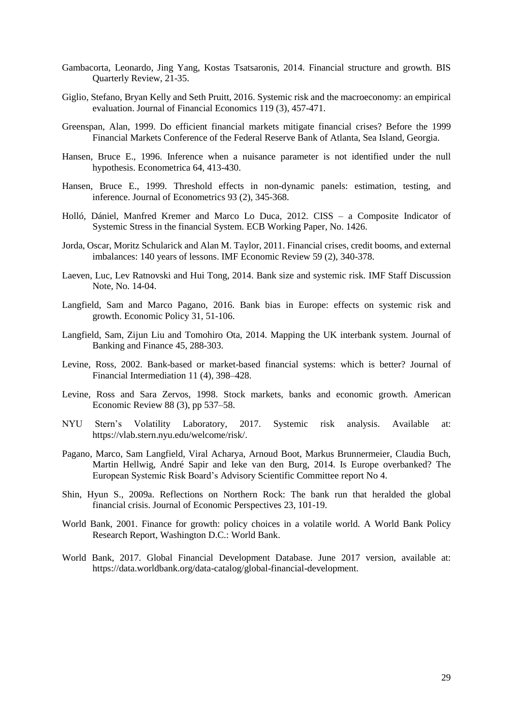- Gambacorta, Leonardo, Jing Yang, Kostas Tsatsaronis, 2014. Financial structure and growth. BIS Quarterly Review, 21-35.
- Giglio, Stefano, Bryan Kelly and Seth Pruitt, 2016. Systemic risk and the macroeconomy: an empirical evaluation. Journal of Financial Economics 119 (3), 457-471.
- Greenspan, Alan, 1999. Do efficient financial markets mitigate financial crises? Before the 1999 Financial Markets Conference of the Federal Reserve Bank of Atlanta, Sea Island, Georgia.
- Hansen, Bruce E., 1996. Inference when a nuisance parameter is not identified under the null hypothesis. Econometrica 64, 413-430.
- Hansen, Bruce E., 1999. Threshold effects in non-dynamic panels: estimation, testing, and inference. Journal of Econometrics 93 (2), 345-368.
- Holló, Dániel, Manfred Kremer and Marco Lo Duca, 2012. CISS a Composite Indicator of Systemic Stress in the financial System. ECB Working Paper, No. 1426.
- Jorda, Oscar, Moritz Schularick and Alan M. Taylor, 2011. Financial crises, credit booms, and external imbalances: 140 years of lessons. IMF Economic Review 59 (2), 340-378.
- Laeven, Luc, Lev Ratnovski and Hui Tong, 2014. Bank size and systemic risk. IMF Staff Discussion Note, No. 14-04.
- Langfield, Sam and Marco Pagano, 2016. Bank bias in Europe: effects on systemic risk and growth. Economic Policy 31, 51-106.
- Langfield, Sam, Zijun Liu and Tomohiro Ota, 2014. Mapping the UK interbank system. Journal of Banking and Finance 45, 288-303.
- Levine, Ross, 2002. Bank-based or market-based financial systems: which is better? Journal of Financial Intermediation 11 (4), 398–428.
- Levine, Ross and Sara Zervos, 1998. Stock markets, banks and economic growth. American Economic Review 88 (3), pp 537–58.
- NYU Stern's Volatility Laboratory, 2017. Systemic risk analysis. Available at: https://vlab.stern.nyu.edu/welcome/risk/.
- Pagano, Marco, Sam Langfield, Viral Acharya, Arnoud Boot, Markus Brunnermeier, Claudia Buch, Martin Hellwig, André Sapir and Ieke van den Burg, 2014. Is Europe overbanked? The European Systemic Risk Board's Advisory Scientific Committee report No 4.
- Shin, Hyun S., 2009a. Reflections on Northern Rock: The bank run that heralded the global financial crisis. Journal of Economic Perspectives 23, 101-19.
- World Bank, 2001. Finance for growth: policy choices in a volatile world. A World Bank Policy Research Report, Washington D.C.: World Bank.
- World Bank, 2017. Global Financial Development Database. June 2017 version, available at: https://data.worldbank.org/data-catalog/global-financial-development.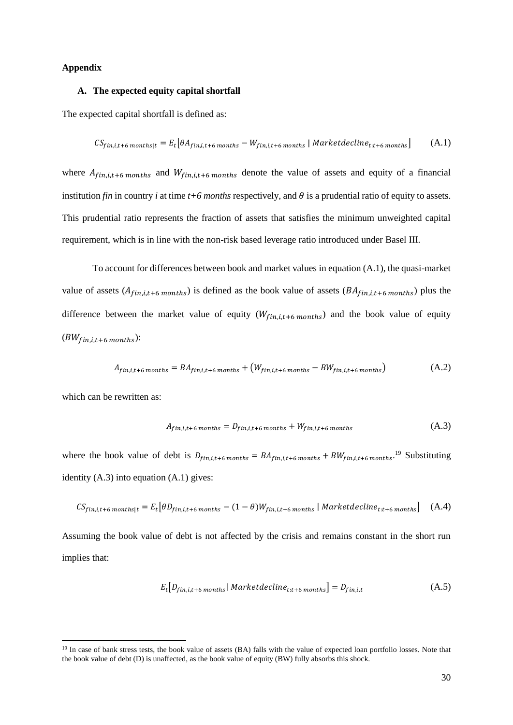## **Appendix**

## **A. The expected equity capital shortfall**

The expected capital shortfall is defined as:

$$
CS_{fin,i,t+6\, months|t} = E_t[\theta A_{fin,i,t+6\, months} - W_{fin,i,t+6\, months} | Market decline_{t:t+6\, months}] \tag{A.1}
$$

where  $A_{fin,i,t+6 \text{ months}}$  and  $W_{fin,i,t+6 \text{ months}}$  denote the value of assets and equity of a financial institution *fin* in country *i* at time  $t+6$  *months* respectively, and  $\theta$  is a prudential ratio of equity to assets. This prudential ratio represents the fraction of assets that satisfies the minimum unweighted capital requirement, which is in line with the non-risk based leverage ratio introduced under Basel III.

To account for differences between book and market values in equation (A.1), the quasi-market value of assets  $(A_{fin,i,t+6 \text{ months}})$  is defined as the book value of assets  $(BA_{fin,i,t+6 \text{ months}})$  plus the difference between the market value of equity  $(W_{fin,i,t+6 \, months})$  and the book value of equity  $(BW_{fin,i,t+6 \; months})$ :

$$
A_{fin,i,t+6\, months} = BA_{fin,i,t+6\, months} + (W_{fin,i,t+6\, months} - BW_{fin,i,t+6\, months})
$$
\n(A.2)

which can be rewritten as:

**.** 

$$
A_{fin,i,t+6\, months} = D_{fin,i,t+6\, months} + W_{fin,i,t+6\, months} \tag{A.3}
$$

where the book value of debt is  $D_{fin,i,t+6 \text{ months}} = BA_{fin,i,t+6 \text{ months}} + BW_{fin,i,t+6 \text{ months}}$ .<sup>19</sup> Substituting identity (A.3) into equation (A.1) gives:

$$
CS_{fin,i,t+6\; months|t} = E_t[\theta D_{fin,i,t+6\; months} - (1-\theta)W_{fin,i,t+6\; months} | Market decline_{t:t+6\; months}] \quad (A.4)
$$

Assuming the book value of debt is not affected by the crisis and remains constant in the short run implies that:

$$
E_t[D_{fin,i,t+6\,months} | \, Market\, decline_{t:t+6\, months}] = D_{fin,i,t} \tag{A.5}
$$

<sup>&</sup>lt;sup>19</sup> In case of bank stress tests, the book value of assets (BA) falls with the value of expected loan portfolio losses. Note that the book value of debt (D) is unaffected, as the book value of equity (BW) fully absorbs this shock.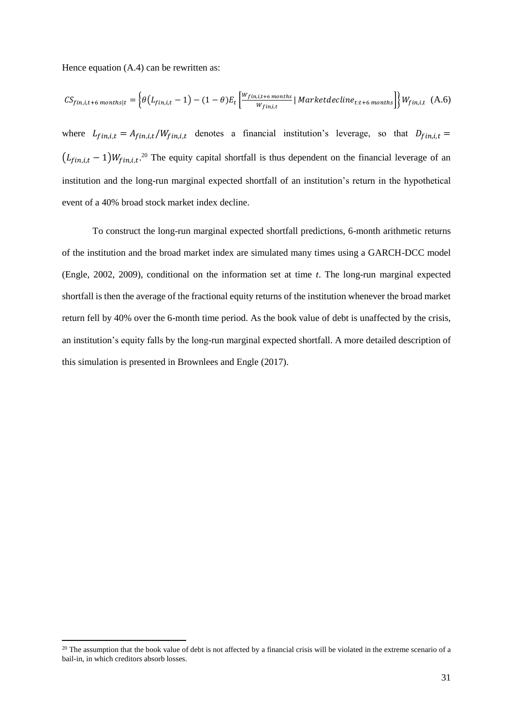Hence equation (A.4) can be rewritten as:

**.** 

$$
CS_{fin,i,t+6\, months|t} = \left\{\theta\left(L_{fin,i,t}-1\right)-(1-\theta)E_t\left[\frac{W_{fin,i,t+6\, months}}{W_{fin,i,t}}\,|\,Market decline_{t:t+6\, months}\right]\right\}W_{fin,i,t} \quad (A.6)
$$

where  $L_{fin,i,t} = A_{fin,i,t}/W_{fin,i,t}$  denotes a financial institution's leverage, so that  $D_{fin,i,t} =$  $(L_{fin,i,t}-1)W_{fin,i,t}$ <sup>20</sup> The equity capital shortfall is thus dependent on the financial leverage of an institution and the long-run marginal expected shortfall of an institution's return in the hypothetical event of a 40% broad stock market index decline.

To construct the long-run marginal expected shortfall predictions, 6-month arithmetic returns of the institution and the broad market index are simulated many times using a GARCH-DCC model (Engle, 2002, 2009), conditional on the information set at time *t*. The long-run marginal expected shortfall is then the average of the fractional equity returns of the institution whenever the broad market return fell by 40% over the 6-month time period. As the book value of debt is unaffected by the crisis, an institution's equity falls by the long-run marginal expected shortfall. A more detailed description of this simulation is presented in Brownlees and Engle (2017).

 $20$  The assumption that the book value of debt is not affected by a financial crisis will be violated in the extreme scenario of a bail-in, in which creditors absorb losses.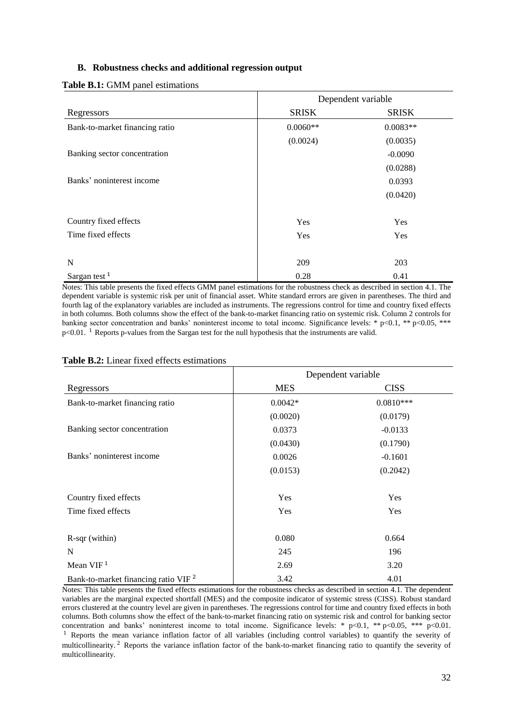## **B. Robustness checks and additional regression output**

|  |  |  | <b>Table B.1:</b> GMM panel estimations |
|--|--|--|-----------------------------------------|
|--|--|--|-----------------------------------------|

|                                | Dependent variable |              |  |  |
|--------------------------------|--------------------|--------------|--|--|
| Regressors                     | <b>SRISK</b>       | <b>SRISK</b> |  |  |
| Bank-to-market financing ratio | $0.0060**$         | $0.0083**$   |  |  |
|                                | (0.0024)           | (0.0035)     |  |  |
| Banking sector concentration   |                    | $-0.0090$    |  |  |
|                                |                    | (0.0288)     |  |  |
| Banks' noninterest income      |                    | 0.0393       |  |  |
|                                |                    | (0.0420)     |  |  |
| Country fixed effects          | Yes                | Yes          |  |  |
| Time fixed effects             | Yes                | Yes          |  |  |
| N                              | 209                | 203          |  |  |
| Sargan test <sup>1</sup>       | 0.28               | 0.41         |  |  |

Notes: This table presents the fixed effects GMM panel estimations for the robustness check as described in section 4.1. The dependent variable is systemic risk per unit of financial asset. White standard errors are given in parentheses. The third and fourth lag of the explanatory variables are included as instruments. The regressions control for time and country fixed effects in both columns. Both columns show the effect of the bank-to-market financing ratio on systemic risk. Column 2 controls for banking sector concentration and banks' noninterest income to total income. Significance levels: \* p<0.1, \*\* p<0.05, \*\*\*  $p<0.01$ . <sup>1</sup> Reports p-values from the Sargan test for the null hypothesis that the instruments are valid.

| <b>Table B.2:</b> Linear fixed effects estimations |  |
|----------------------------------------------------|--|
|----------------------------------------------------|--|

|                                                 | Dependent variable |             |  |  |  |
|-------------------------------------------------|--------------------|-------------|--|--|--|
| Regressors                                      | <b>MES</b>         | <b>CISS</b> |  |  |  |
| Bank-to-market financing ratio                  | $0.0042*$          | $0.0810***$ |  |  |  |
|                                                 | (0.0020)           | (0.0179)    |  |  |  |
| Banking sector concentration                    | 0.0373             | $-0.0133$   |  |  |  |
|                                                 | (0.0430)           | (0.1790)    |  |  |  |
| Banks' noninterest income                       | 0.0026             | $-0.1601$   |  |  |  |
|                                                 | (0.0153)           | (0.2042)    |  |  |  |
| Country fixed effects                           | Yes                | Yes         |  |  |  |
| Time fixed effects                              | Yes                | Yes         |  |  |  |
| $R$ -sqr (within)                               | 0.080              | 0.664       |  |  |  |
| N                                               | 245                | 196         |  |  |  |
| Mean VIF <sup>1</sup>                           | 2.69               | 3.20        |  |  |  |
| Bank-to-market financing ratio VIF <sup>2</sup> | 3.42               | 4.01        |  |  |  |

Notes: This table presents the fixed effects estimations for the robustness checks as described in section 4.1. The dependent variables are the marginal expected shortfall (MES) and the composite indicator of systemic stress (CISS). Robust standard errors clustered at the country level are given in parentheses. The regressions control for time and country fixed effects in both columns. Both columns show the effect of the bank-to-market financing ratio on systemic risk and control for banking sector concentration and banks' noninterest income to total income. Significance levels: \* p<0.1, \*\* p<0.05, \*\*\* p<0.01.  $<sup>1</sup>$  Reports the mean variance inflation factor of all variables (including control variables) to quantify the severity of</sup>

multicollinearity. <sup>2</sup> Reports the variance inflation factor of the bank-to-market financing ratio to quantify the severity of multicollinearity.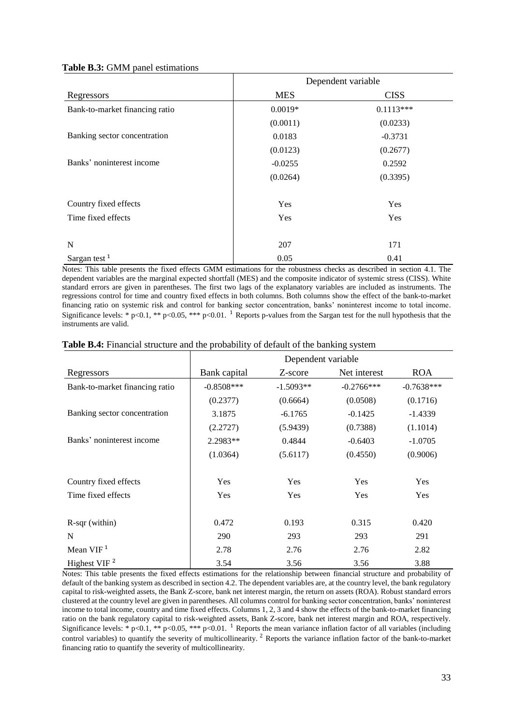#### **Table B.3:** GMM panel estimations

|                                | Dependent variable |             |  |  |
|--------------------------------|--------------------|-------------|--|--|
| Regressors                     | <b>MES</b>         | <b>CISS</b> |  |  |
| Bank-to-market financing ratio | $0.0019*$          | $0.1113***$ |  |  |
|                                | (0.0011)           | (0.0233)    |  |  |
| Banking sector concentration   | 0.0183             | $-0.3731$   |  |  |
|                                | (0.0123)           | (0.2677)    |  |  |
| Banks' noninterest income      | $-0.0255$          | 0.2592      |  |  |
|                                | (0.0264)           | (0.3395)    |  |  |
| Country fixed effects          | Yes                | Yes         |  |  |
| Time fixed effects             | Yes                | Yes         |  |  |
| N                              | 207                | 171         |  |  |
| Sargan test <sup>1</sup>       | 0.05               | 0.41        |  |  |

Notes: This table presents the fixed effects GMM estimations for the robustness checks as described in section 4.1. The dependent variables are the marginal expected shortfall (MES) and the composite indicator of systemic stress (CISS). White standard errors are given in parentheses. The first two lags of the explanatory variables are included as instruments. The regressions control for time and country fixed effects in both columns. Both columns show the effect of the bank-to-market financing ratio on systemic risk and control for banking sector concentration, banks' noninterest income to total income. Significance levels: \* p<0.1, \*\* p<0.05, \*\*\* p<0.01. <sup>1</sup> Reports p-values from the Sargan test for the null hypothesis that the instruments are valid.

|                                | Dependent variable |             |              |              |  |
|--------------------------------|--------------------|-------------|--------------|--------------|--|
| Regressors                     | Bank capital       | Z-score     | Net interest | <b>ROA</b>   |  |
| Bank-to-market financing ratio | $-0.8508$ ***      | $-1.5093**$ | $-0.2766***$ | $-0.7638***$ |  |
|                                | (0.2377)           | (0.6664)    | (0.0508)     | (0.1716)     |  |
| Banking sector concentration   | 3.1875             | $-6.1765$   | $-0.1425$    | $-1.4339$    |  |
|                                | (2.2727)           | (5.9439)    | (0.7388)     | (1.1014)     |  |
| Banks' noninterest income      | 2.2983**           | 0.4844      | $-0.6403$    | $-1.0705$    |  |
|                                | (1.0364)           | (5.6117)    | (0.4550)     | (0.9006)     |  |
| Country fixed effects          | Yes                | Yes         | Yes          | Yes          |  |
| Time fixed effects             | Yes                | Yes         | Yes          | Yes          |  |
| $R$ -sqr (within)              | 0.472              | 0.193       | 0.315        | 0.420        |  |
| N                              | 290                | 293         | 293          | 291          |  |
| Mean VIF <sup>1</sup>          | 2.78               | 2.76        | 2.76         | 2.82         |  |
| Highest VIF $^2$               | 3.54               | 3.56        | 3.56         | 3.88         |  |

## **Table B.4:** Financial structure and the probability of default of the banking system

Notes: This table presents the fixed effects estimations for the relationship between financial structure and probability of default of the banking system as described in section 4.2. The dependent variables are, at the country level, the bank regulatory capital to risk-weighted assets, the Bank Z-score, bank net interest margin, the return on assets (ROA). Robust standard errors clustered at the country level are given in parentheses. All columns control for banking sector concentration, banks' noninterest income to total income, country and time fixed effects. Columns 1, 2, 3 and 4 show the effects of the bank-to-market financing ratio on the bank regulatory capital to risk-weighted assets, Bank Z-score, bank net interest margin and ROA, respectively. Significance levels: \* p<0.1, \*\* p<0.05, \*\*\* p<0.01. <sup>1</sup> Reports the mean variance inflation factor of all variables (including control variables) to quantify the severity of multicollinearity. <sup>2</sup> Reports the variance inflation factor of the bank-to-market financing ratio to quantify the severity of multicollinearity.